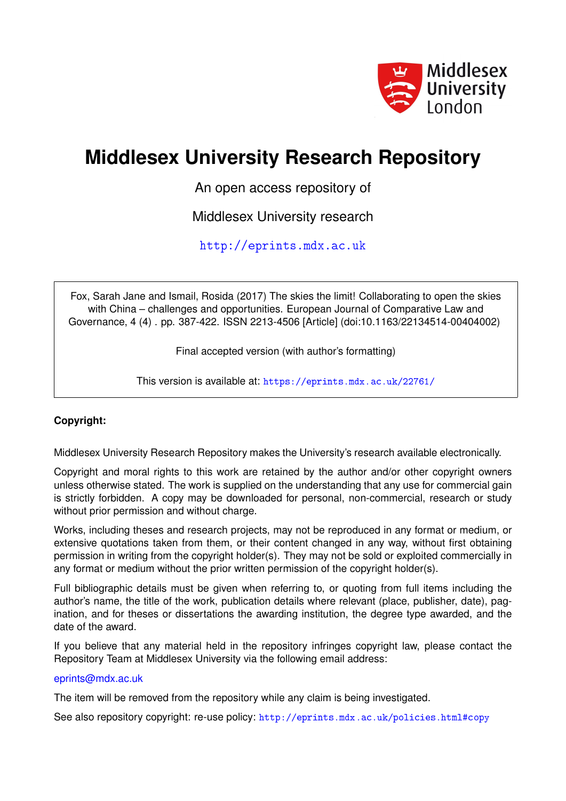

# **Middlesex University Research Repository**

An open access repository of

Middlesex University research

<http://eprints.mdx.ac.uk>

Fox, Sarah Jane and Ismail, Rosida (2017) The skies the limit! Collaborating to open the skies with China – challenges and opportunities. European Journal of Comparative Law and Governance, 4 (4) . pp. 387-422. ISSN 2213-4506 [Article] (doi:10.1163/22134514-00404002)

Final accepted version (with author's formatting)

This version is available at: <https://eprints.mdx.ac.uk/22761/>

# **Copyright:**

Middlesex University Research Repository makes the University's research available electronically.

Copyright and moral rights to this work are retained by the author and/or other copyright owners unless otherwise stated. The work is supplied on the understanding that any use for commercial gain is strictly forbidden. A copy may be downloaded for personal, non-commercial, research or study without prior permission and without charge.

Works, including theses and research projects, may not be reproduced in any format or medium, or extensive quotations taken from them, or their content changed in any way, without first obtaining permission in writing from the copyright holder(s). They may not be sold or exploited commercially in any format or medium without the prior written permission of the copyright holder(s).

Full bibliographic details must be given when referring to, or quoting from full items including the author's name, the title of the work, publication details where relevant (place, publisher, date), pagination, and for theses or dissertations the awarding institution, the degree type awarded, and the date of the award.

If you believe that any material held in the repository infringes copyright law, please contact the Repository Team at Middlesex University via the following email address:

# [eprints@mdx.ac.uk](mailto:eprints@mdx.ac.uk)

The item will be removed from the repository while any claim is being investigated.

See also repository copyright: re-use policy: <http://eprints.mdx.ac.uk/policies.html#copy>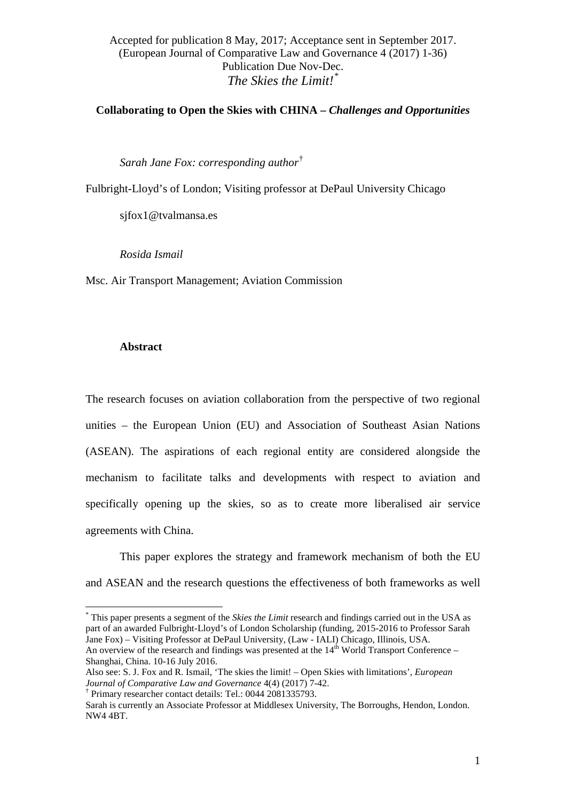**Collaborating to Open the Skies with CHINA –** *Challenges and Opportunities*

*Sarah Jane Fox: corresponding author*[†](#page-1-1)

Fulbright-Lloyd's of London; Visiting professor at DePaul University Chicago

sjfox1@tvalmansa.es

*Rosida Ismail*

Msc. Air Transport Management; Aviation Commission

#### **Abstract**

The research focuses on aviation collaboration from the perspective of two regional unities – the European Union (EU) and Association of Southeast Asian Nations (ASEAN). The aspirations of each regional entity are considered alongside the mechanism to facilitate talks and developments with respect to aviation and specifically opening up the skies, so as to create more liberalised air service agreements with China.

This paper explores the strategy and framework mechanism of both the EU and ASEAN and the research questions the effectiveness of both frameworks as well

<span id="page-1-0"></span><sup>\*</sup> This paper presents a segment of the *Skies the Limit* research and findings carried out in the USA as part of an awarded Fulbright-Lloyd's of London Scholarship (funding, 2015-2016 to Professor Sarah Jane Fox) – Visiting Professor at DePaul University, (Law - IALI) Chicago, Illinois, USA. An overview of the research and findings was presented at the  $14<sup>th</sup>$  World Transport Conference – -<br>\*

Shanghai, China. 10-16 July 2016.

Also see: S. J. Fox and R. Ismail, 'The skies the limit! – Open Skies with limitations', *European Journal of Comparative Law and Governance* 4(4) (2017) 7-42.

<span id="page-1-1"></span><sup>†</sup> Primary researcher contact details: Tel.: 0044 2081335793.

Sarah is currently an Associate Professor at Middlesex University, The Borroughs, Hendon, London. NW4 4BT.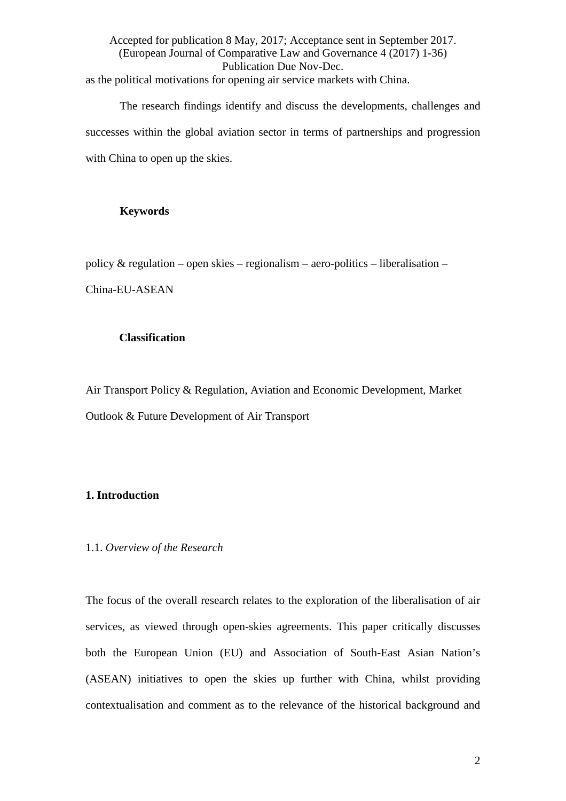Accepted for publication 8 May, 2017; Acceptance sent in September 2017. (European Journal of Comparative Law and Governance 4 (2017) 1-36) Publication Due Nov-Dec. as the political motivations for opening air service markets with China.

The research findings identify and discuss the developments, challenges and successes within the global aviation sector in terms of partnerships and progression with China to open up the skies.

#### **Keywords**

policy  $&$  regulation – open skies – regionalism – aero-politics – liberalisation –

China-EU-ASEAN

# **Classification**

Air Transport Policy & Regulation, Aviation and Economic Development, Market Outlook & Future Development of Air Transport

# **1. Introduction**

# 1.1. *Overview of the Research*

The focus of the overall research relates to the exploration of the liberalisation of air services, as viewed through open-skies agreements. This paper critically discusses both the European Union (EU) and Association of South-East Asian Nation's (ASEAN) initiatives to open the skies up further with China, whilst providing contextualisation and comment as to the relevance of the historical background and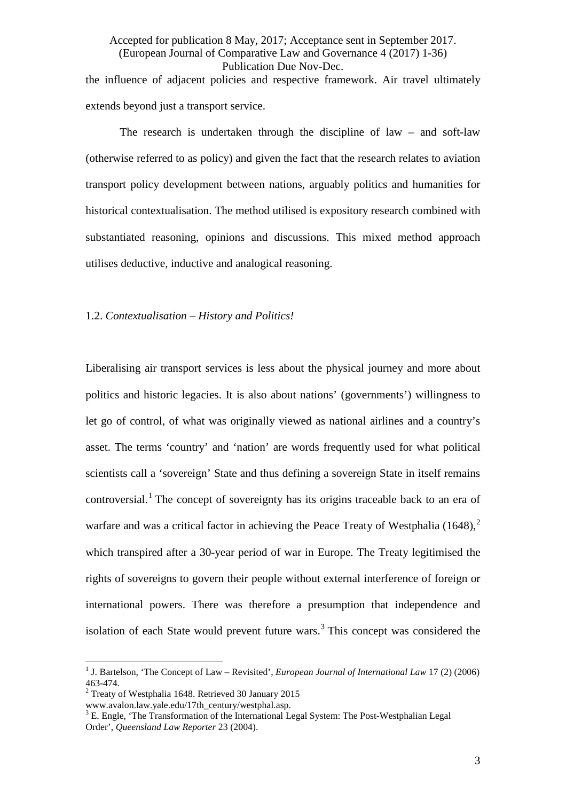Accepted for publication 8 May, 2017; Acceptance sent in September 2017. (European Journal of Comparative Law and Governance 4 (2017) 1-36) Publication Due Nov-Dec. the influence of adjacent policies and respective framework. Air travel ultimately extends beyond just a transport service.

The research is undertaken through the discipline of law – and soft-law (otherwise referred to as policy) and given the fact that the research relates to aviation transport policy development between nations, arguably politics and humanities for historical contextualisation. The method utilised is expository research combined with substantiated reasoning, opinions and discussions. This mixed method approach utilises deductive, inductive and analogical reasoning.

#### 1.2. *Contextualisation – History and Politics!*

Liberalising air transport services is less about the physical journey and more about politics and historic legacies. It is also about nations' (governments') willingness to let go of control, of what was originally viewed as national airlines and a country's asset. The terms 'country' and 'nation' are words frequently used for what political scientists call a 'sovereign' State and thus defining a sovereign State in itself remains controversial.<sup>[1](#page-3-0)</sup> The concept of sovereignty has its origins traceable back to an era of warfare and was a critical factor in achieving the Peace Treaty of Westphalia  $(1648)$ <sup>[2](#page-3-1)</sup> which transpired after a 30-year period of war in Europe. The Treaty legitimised the rights of sovereigns to govern their people without external interference of foreign or international powers. There was therefore a presumption that independence and isolation of each State would prevent future wars.<sup>[3](#page-3-2)</sup> This concept was considered the

<span id="page-3-0"></span><sup>&</sup>lt;sup>1</sup> J. Bartelson, 'The Concept of Law – Revisited', *European Journal of International Law* 17 (2) (2006) 463-474. <sup>2</sup> Treaty of Westphalia 1648. Retrieved 30 January 2015  $\overline{1}$ 

<span id="page-3-1"></span>

<span id="page-3-2"></span>www.avalon.law.yale.edu/17th\_century/westphal.asp.  $3$  E. Engle, 'The Post-Westphalian Legal  $3$  E. Engle, 'The Transformation of the International Legal System: The Post-Westphalian Legal Order', *Queensland Law Reporter* 23 (2004).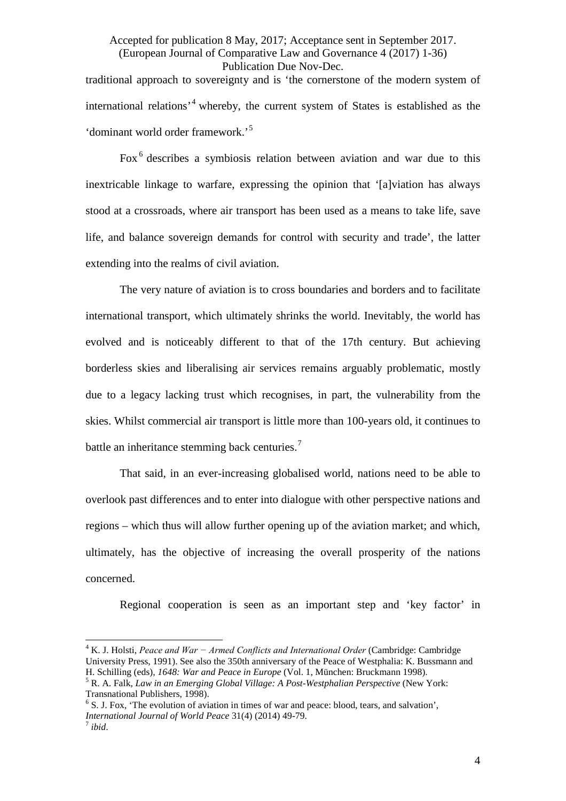traditional approach to sovereignty and is 'the cornerstone of the modern system of international relations'[4](#page-4-0) whereby, the current system of States is established as the 'dominant world order framework.'[5](#page-4-1)

<span id="page-4-4"></span>Fox [6](#page-4-2) describes a symbiosis relation between aviation and war due to this inextricable linkage to warfare, expressing the opinion that '[a]viation has always stood at a crossroads, where air transport has been used as a means to take life, save life, and balance sovereign demands for control with security and trade', the latter extending into the realms of civil aviation.

The very nature of aviation is to cross boundaries and borders and to facilitate international transport, which ultimately shrinks the world. Inevitably, the world has evolved and is noticeably different to that of the 17th century. But achieving borderless skies and liberalising air services remains arguably problematic, mostly due to a legacy lacking trust which recognises, in part, the vulnerability from the skies. Whilst commercial air transport is little more than 100-years old, it continues to battle an inheritance stemming back centuries.<sup>[7](#page-4-3)</sup>

That said, in an ever-increasing globalised world, nations need to be able to overlook past differences and to enter into dialogue with other perspective nations and regions – which thus will allow further opening up of the aviation market; and which, ultimately, has the objective of increasing the overall prosperity of the nations concerned.

Regional cooperation is seen as an important step and 'key factor' in

<span id="page-4-0"></span><sup>4</sup> K. J. Holsti, *Peace and War − Armed Conflicts and International Order* (Cambridge: Cambridge University Press, 1991). See also the 350th anniversary of the Peace of Westphalia: K. Bussmann and H. Schilling (eds), 1648: War and Peace in Europe (Vol. 1, München: Bruckmann 1998).  $\overline{1}$ 

<span id="page-4-1"></span><sup>&</sup>lt;sup>5</sup> R. A. Falk, *Law in an Emerging Global Village: A Post-Westphalian Perspective* (New York: Transnational Publishers, 1998).

<span id="page-4-2"></span> $6$  S. J. Fox, 'The evolution of aviation in times of war and peace: blood, tears, and salvation', *International Journal of World Peace* 31(4) (2014) 49-79.<br><sup>7</sup> *ibid.* 

<span id="page-4-3"></span>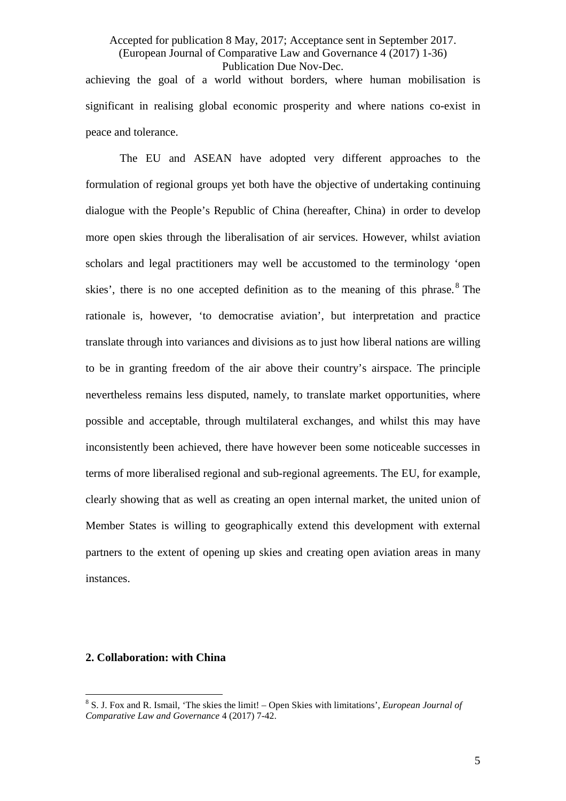# Accepted for publication 8 May, 2017; Acceptance sent in September 2017. (European Journal of Comparative Law and Governance 4 (2017) 1-36) Publication Due Nov-Dec. achieving the goal of a world without borders, where human mobilisation is significant in realising global economic prosperity and where nations co-exist in

The EU and ASEAN have adopted very different approaches to the formulation of regional groups yet both have the objective of undertaking continuing dialogue with the People's Republic of China (hereafter, China) in order to develop more open skies through the liberalisation of air services. However, whilst aviation scholars and legal practitioners may well be accustomed to the terminology 'open skies', there is no one accepted definition as to the meaning of this phrase.  $8$  The rationale is, however, 'to democratise aviation', but interpretation and practice translate through into variances and divisions as to just how liberal nations are willing to be in granting freedom of the air above their country's airspace. The principle nevertheless remains less disputed, namely, to translate market opportunities, where possible and acceptable, through multilateral exchanges, and whilst this may have inconsistently been achieved, there have however been some noticeable successes in terms of more liberalised regional and sub-regional agreements. The EU, for example, clearly showing that as well as creating an open internal market, the united union of Member States is willing to geographically extend this development with external partners to the extent of opening up skies and creating open aviation areas in many instances.

# **2. Collaboration: with China**

peace and tolerance.

<span id="page-5-0"></span><sup>8</sup> S. J. Fox and R. Ismail, 'The skies the limit! – Open Skies with limitations', *European Journal of Comparative Law and Governance* 4 (2017) 7-42.  $\frac{1}{2}$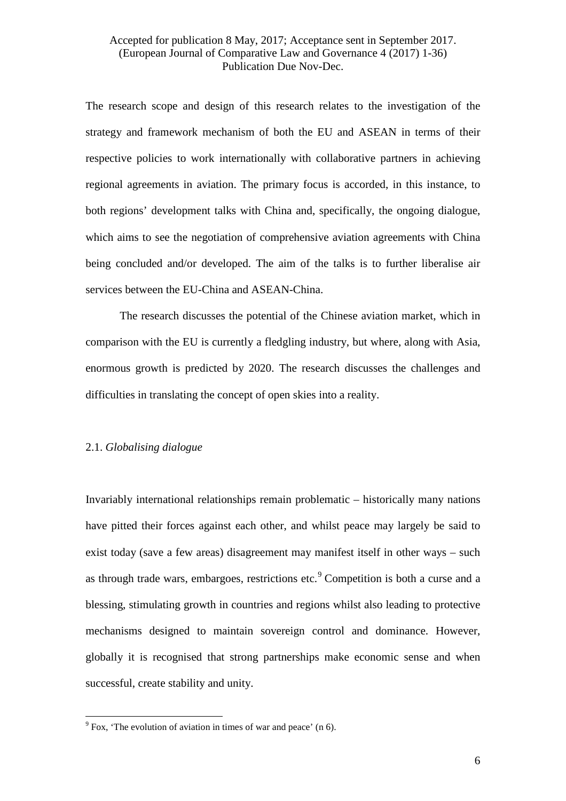The research scope and design of this research relates to the investigation of the strategy and framework mechanism of both the EU and ASEAN in terms of their respective policies to work internationally with collaborative partners in achieving regional agreements in aviation. The primary focus is accorded, in this instance, to both regions' development talks with China and, specifically, the ongoing dialogue, which aims to see the negotiation of comprehensive aviation agreements with China being concluded and/or developed. The aim of the talks is to further liberalise air services between the EU-China and ASEAN-China.

The research discusses the potential of the Chinese aviation market, which in comparison with the EU is currently a fledgling industry, but where, along with Asia, enormous growth is predicted by 2020. The research discusses the challenges and difficulties in translating the concept of open skies into a reality.

#### 2.1. *Globalising dialogue*

Invariably international relationships remain problematic – historically many nations have pitted their forces against each other, and whilst peace may largely be said to exist today (save a few areas) disagreement may manifest itself in other ways – such as through trade wars, embargoes, restrictions etc.<sup>[9](#page-6-0)</sup> Competition is both a curse and a blessing, stimulating growth in countries and regions whilst also leading to protective mechanisms designed to maintain sovereign control and dominance. However, globally it is recognised that strong partnerships make economic sense and when successful, create stability and unity.

<span id="page-6-0"></span> $9^9$  Fox, 'The evolution of aviation in times of war and peace' ([n 6\)](#page-4-4).  $\frac{1}{\alpha}$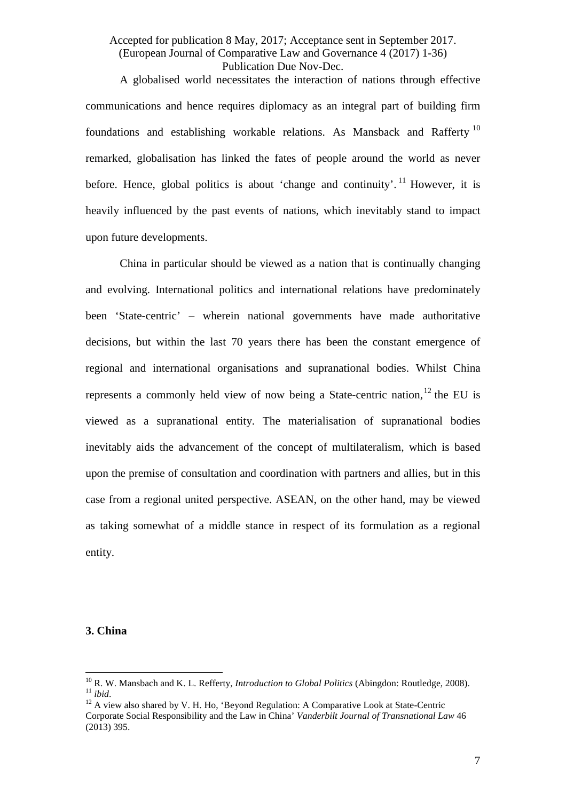<span id="page-7-3"></span>A globalised world necessitates the interaction of nations through effective communications and hence requires diplomacy as an integral part of building firm foundations and establishing workable relations. As Mansback and Rafferty [10](#page-7-0) remarked, globalisation has linked the fates of people around the world as never before. Hence, global politics is about 'change and continuity'.<sup>[11](#page-7-1)</sup> However, it is heavily influenced by the past events of nations, which inevitably stand to impact upon future developments.

China in particular should be viewed as a nation that is continually changing and evolving. International politics and international relations have predominately been 'State-centric' – wherein national governments have made authoritative decisions, but within the last 70 years there has been the constant emergence of regional and international organisations and supranational bodies. Whilst China represents a commonly held view of now being a State-centric nation,  $12$  the EU is viewed as a supranational entity. The materialisation of supranational bodies inevitably aids the advancement of the concept of multilateralism, which is based upon the premise of consultation and coordination with partners and allies, but in this case from a regional united perspective. ASEAN, on the other hand, may be viewed as taking somewhat of a middle stance in respect of its formulation as a regional entity.

#### **3. China**

<span id="page-7-1"></span><span id="page-7-0"></span><sup>11</sup> *ibid.*<br><sup>11</sup> *ibid.* 22 A view also shared by V. H. Ho, 'Beyond Regulation: A Comparative Look at State-Centric  $^{10}$  R. W. Mansbach and K. L. Refferty, *Introduction to Global Politics* (Abingdon: Routledge, 2008).

<span id="page-7-2"></span>Corporate Social Responsibility and the Law in China' *Vanderbilt Journal of Transnational Law* 46 (2013) 395.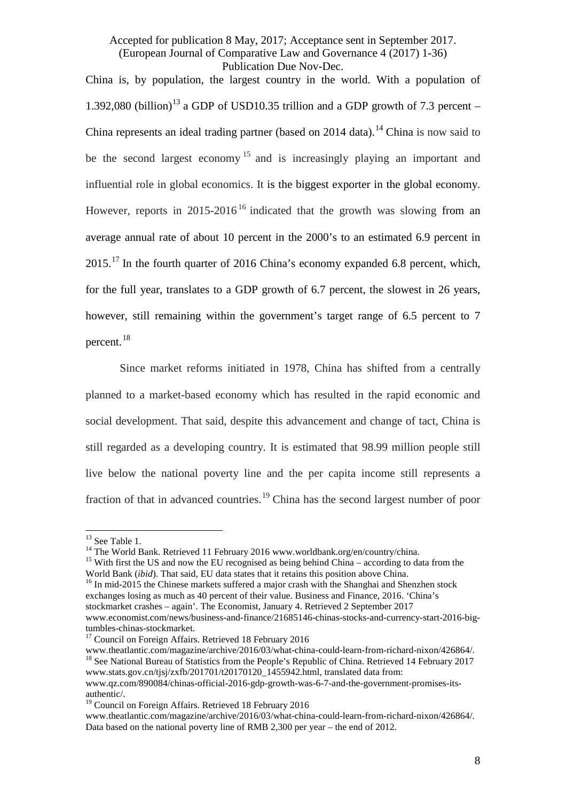<span id="page-8-7"></span>China is, by population, the largest country in the world. With a population of 1.392,080 (billion)<sup>[13](#page-8-0)</sup> a GDP of USD10.35 trillion and a GDP growth of 7.3 percent – China represents an ideal trading partner (based on 20[14](#page-8-1) data).<sup>14</sup> China is now said to be the second largest economy<sup>[15](#page-8-2)</sup> and is increasingly playing an important and influential role in global economics. It is the biggest exporter in the global economy. However, reports in 2015-20[16](#page-8-3)<sup>16</sup> indicated that the growth was slowing from an average annual rate of about 10 percent in the 2000's to an estimated 6.9 percent in 2015.[17](#page-8-4) In the fourth quarter of 2016 China's economy expanded 6.8 percent, which, for the full year, translates to a GDP growth of 6.7 percent, the slowest in 26 years, however, still remaining within the government's target range of 6.5 percent to 7 percent. [18](#page-8-5)

Since market reforms initiated in 1978, China has shifted from a centrally planned to a market-based economy which has resulted in the rapid economic and social development. That said, despite this advancement and change of tact, China is still regarded as a developing country. It is estimated that 98.99 million people still live below the national poverty line and the per capita income still represents a fraction of that in advanced countries.[19](#page-8-6) China has the second largest number of poor

<span id="page-8-0"></span> $13$  See Table 1.

<span id="page-8-2"></span>

<span id="page-8-1"></span><sup>&</sup>lt;sup>14</sup> The World Bank. Retrieved 11 February 2016 www.worldbank.org/en/country/china. <sup>15</sup> With first the US and now the EU recognised as being behind China – according to data from the World Bank (*ibid*). That said, EU data states that it retains this position above China. <sup>16</sup> In mid-2015 the Chinese markets suffered a major crash with the Shanghai and Shenzhen stock

<span id="page-8-3"></span>exchanges losing as much as 40 percent of their value. Business and Finance, 2016. 'China's stockmarket crashes – again'. The Economist, January 4. Retrieved 2 September 2017 www.economist.com/news/business-and-finance/21685146-chinas-stocks-and-currency-start-2016-big-

<span id="page-8-5"></span><span id="page-8-4"></span><sup>&</sup>lt;sup>17</sup> Council on Foreign Affairs. Retrieved 18 February 2016<br>www.theatlantic.com/magazine/archive/2016/03/what-china-could-learn-from-richard-nixon/426864/. <sup>18</sup> See National Bureau of Statistics from the People's Republic of China. Retrieved 14 February 2017 www.stats.gov.cn/tjsj/zxfb/201701/t20170120\_1455942.html, translated data from: www.qz.com/890084/chinas-official-2016-gdp-growth-was-6-7-and-the-government-promises-its-

authentic/. <sup>19</sup> Council on Foreign Affairs. Retrieved 18 February 2016

<span id="page-8-6"></span>www.theatlantic.com/magazine/archive/2016/03/what-china-could-learn-from-richard-nixon/426864/. Data based on the national poverty line of RMB 2,300 per year – the end of 2012.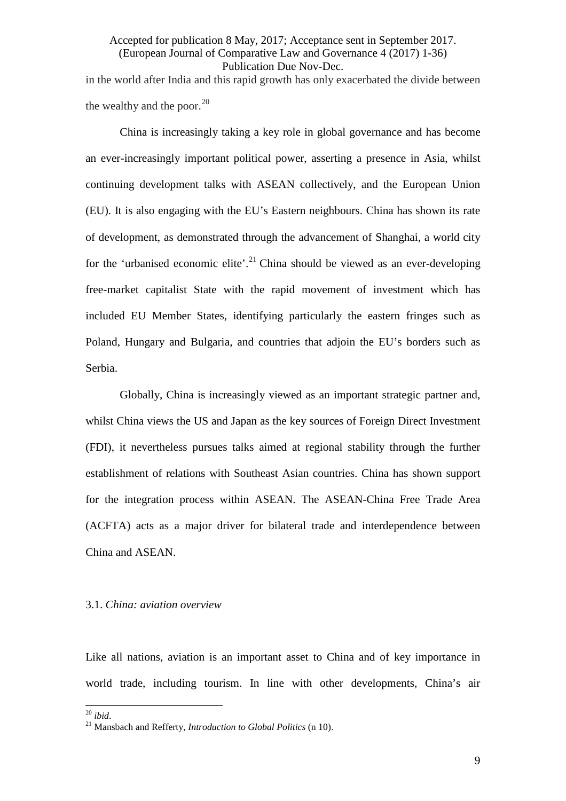# Accepted for publication 8 May, 2017; Acceptance sent in September 2017. (European Journal of Comparative Law and Governance 4 (2017) 1-36) Publication Due Nov-Dec. in the world after India and this rapid growth has only exacerbated the divide between

the wealthy and the poor. $^{20}$  $^{20}$  $^{20}$ 

China is increasingly taking a key role in global governance and has become an ever-increasingly important political power, asserting a presence in Asia, whilst continuing development talks with ASEAN collectively, and the European Union (EU). It is also engaging with the EU's Eastern neighbours. China has shown its rate of development, as demonstrated through the advancement of Shanghai, a world city for the 'urbanised economic elite'.<sup>[21](#page-9-1)</sup> China should be viewed as an ever-developing free-market capitalist State with the rapid movement of investment which has included EU Member States, identifying particularly the eastern fringes such as Poland, Hungary and Bulgaria, and countries that adjoin the EU's borders such as Serbia.

Globally, China is increasingly viewed as an important strategic partner and, whilst China views the US and Japan as the key sources of Foreign Direct Investment (FDI), it nevertheless pursues talks aimed at regional stability through the further establishment of relations with Southeast Asian countries. China has shown support for the integration process within ASEAN. The ASEAN-China Free Trade Area (ACFTA) acts as a major driver for bilateral trade and interdependence between China and ASEAN.

#### 3.1. *China: aviation overview*

Like all nations, aviation is an important asset to China and of key importance in world trade, including tourism. In line with other developments, China's air

<span id="page-9-0"></span> $20$  ibid.

<span id="page-9-1"></span><sup>&</sup>lt;sup>21</sup> Mansbach and Refferty, *Introduction to Global Politics* (n [10\)](#page-7-3).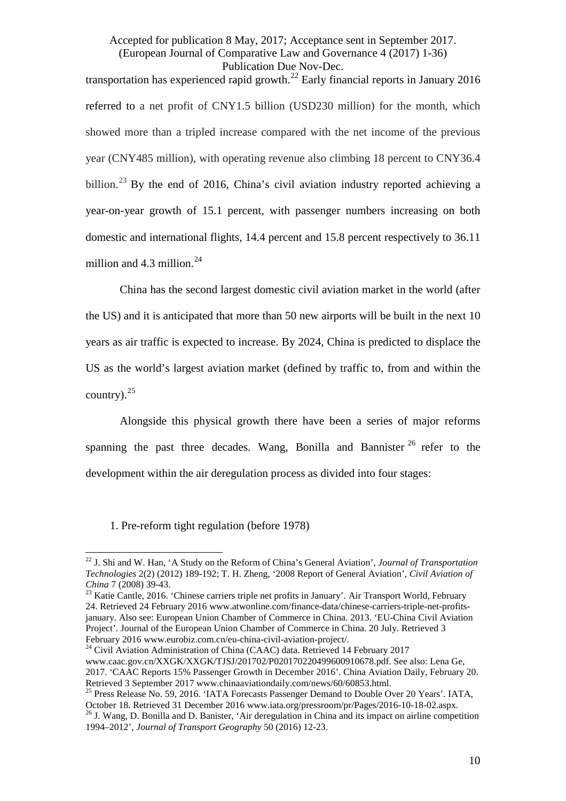transportation has experienced rapid growth.<sup>[22](#page-10-0)</sup> Early financial reports in January 2016 referred to a net profit of CNY1.5 billion (USD230 million) for the month, which showed more than a tripled increase compared with the net income of the previous year (CNY485 million), with operating revenue also climbing 18 percent to CNY36.4 billion.<sup>[23](#page-10-1)</sup> By the end of 2016, China's civil aviation industry reported achieving a year-on-year growth of 15.1 percent, with passenger numbers increasing on both domestic and international flights, 14.4 percent and 15.8 percent respectively to 36.11 million and  $4.3$  million.<sup>[24](#page-10-2)</sup>

<span id="page-10-5"></span>China has the second largest domestic civil aviation market in the world (after the US) and it is anticipated that more than 50 new airports will be built in the next 10 years as air traffic is expected to increase. By 2024, China is predicted to displace the US as the world's largest aviation market (defined by traffic to, from and within the country). $^{25}$  $^{25}$  $^{25}$ 

Alongside this physical growth there have been a series of major reforms spanning the past three decades. Wang, Bonilla and Bannister  $^{26}$  $^{26}$  $^{26}$  refer to the development within the air deregulation process as divided into four stages:

1. Pre-reform tight regulation (before 1978)

<span id="page-10-3"></span><sup>25</sup> Press Release No. 59, 2016. 'IATA Forecasts Passenger Demand to Double Over 20 Years'. IATA, October 18. Retrieved 31 December 2016 www.iata.org/pressroom/pr/Pages/2016-10-18-02.aspx. 26 J. Wang, D. Bonilla and D. Banister, 'Air deregulation in China and its impact on airline competition

<span id="page-10-0"></span><sup>22</sup> J. Shi and W. Han, 'A Study on the Reform of China's General Aviation', *Journal of Transportation Technologies* 2(2) (2012) 189-192; T. H. Zheng, '2008 Report of General Aviation', *Civil Aviation of*   $\overline{1}$ 

<span id="page-10-1"></span>*China* 7 (2008) 39-43.<br><sup>23</sup> Katie Cantle, 2016. 'Chinese carriers triple net profits in January'. Air Transport World, February 24. Retrieved 24 February 2016 www.atwonline.com/finance-data/chinese-carriers-triple-net-profitsjanuary. Also see: European Union Chamber of Commerce in China. 2013. 'EU-China Civil Aviation Project'. Journal of the European Union Chamber of Commerce in China. 20 July. Retrieved 3

<span id="page-10-2"></span> $^{24}$  Civil Aviation Administration of China (CAAC) data. Retrieved 14 February 2017 www.caac.gov.cn/XXGK/XXGK/TJSJ/201702/P020170220499600910678.pdf. See also: Lena Ge, 2017. 'CAAC Reports 15% Passenger Growth in December 2016'. China Aviation Daily, February 20.<br>Retrieved 3 September 2017 www.chinaaviationdaily.com/news/60/60853.html.

<span id="page-10-4"></span><sup>1994–2012&#</sup>x27;, *Journal of Transport Geography* 50 (2016) 12-23.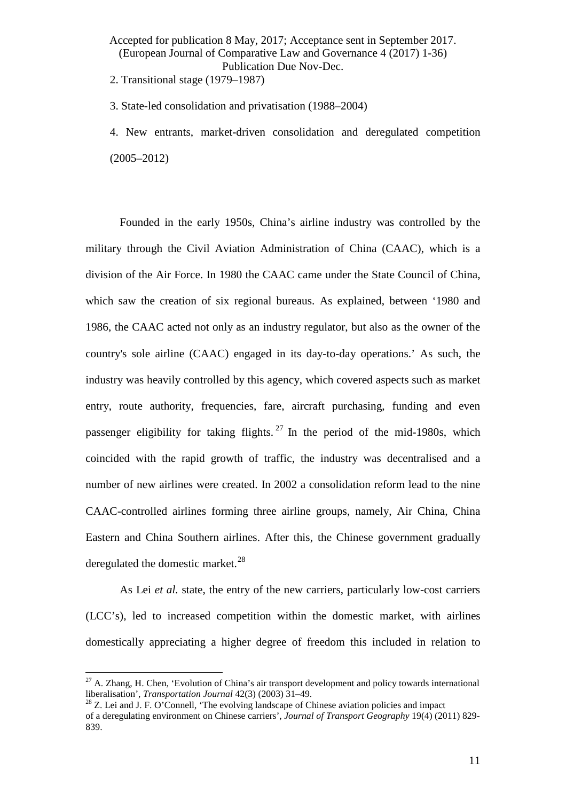2. Transitional stage (1979–1987)

3. State-led consolidation and privatisation (1988–2004)

4. New entrants, market-driven consolidation and deregulated competition (2005–2012)

Founded in the early 1950s, China's airline industry was controlled by the military through the Civil Aviation Administration of China (CAAC), which is a division of the Air Force. In 1980 the CAAC came under the State Council of China, which saw the creation of six regional bureaus. As explained, between '1980 and 1986, the CAAC acted not only as an industry regulator, but also as the owner of the country's sole airline (CAAC) engaged in its day-to-day operations.' As such, the industry was heavily controlled by this agency, which covered aspects such as market entry, route authority, frequencies, fare, aircraft purchasing, funding and even passenger eligibility for taking flights.  $27 \text{ In the period of the mid-1980s, which}$  $27 \text{ In the period of the mid-1980s, which}$ coincided with the rapid growth of traffic, the industry was decentralised and a number of new airlines were created. In 2002 a consolidation reform lead to the nine CAAC-controlled airlines forming three airline groups, namely, Air China, China Eastern and China Southern airlines. After this, the Chinese government gradually deregulated the domestic market. $^{28}$  $^{28}$  $^{28}$ 

As Lei *et al.* state, the entry of the new carriers, particularly low-cost carriers (LCC's), led to increased competition within the domestic market, with airlines domestically appreciating a higher degree of freedom this included in relation to

<span id="page-11-0"></span> $^{27}$  A. Zhang, H. Chen, 'Evolution of China's air transport development and policy towards international liberalisation', *Transportation Journal* 42(3) (2003) 31–49.<br><sup>28</sup> Z. Lei and J. F. O'Connell, 'The evolving landscape of Chinese aviation policies and impact  $\overline{1}$ 

<span id="page-11-1"></span>of a deregulating environment on Chinese carriers', *Journal of Transport Geography* 19(4) (2011) 829- 839.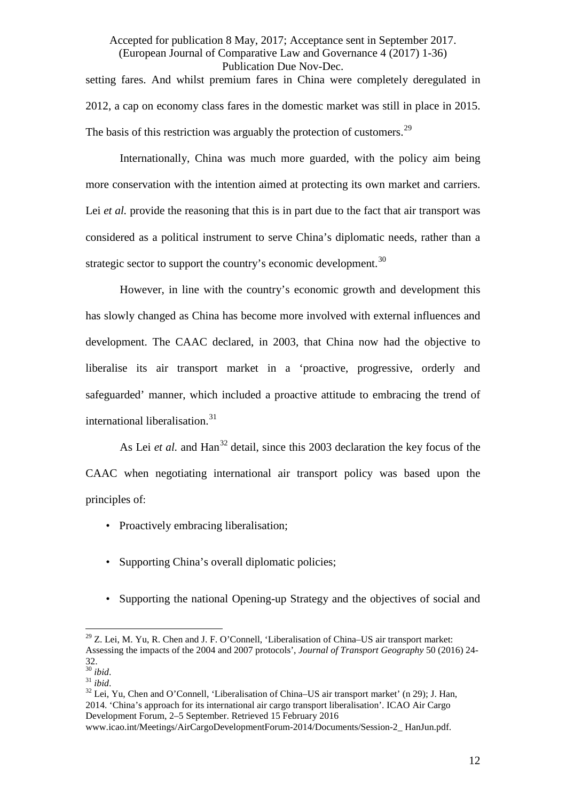setting fares. And whilst premium fares in China were completely deregulated in 2012, a cap on economy class fares in the domestic market was still in place in 2015. The basis of this restriction was arguably the protection of customers.<sup>[29](#page-12-1)</sup>

<span id="page-12-0"></span>Internationally, China was much more guarded, with the policy aim being more conservation with the intention aimed at protecting its own market and carriers. Lei *et al.* provide the reasoning that this is in part due to the fact that air transport was considered as a political instrument to serve China's diplomatic needs, rather than a strategic sector to support the country's economic development.<sup>[30](#page-12-2)</sup>

However, in line with the country's economic growth and development this has slowly changed as China has become more involved with external influences and development. The CAAC declared, in 2003, that China now had the objective to liberalise its air transport market in a 'proactive, progressive, orderly and safeguarded' manner, which included a proactive attitude to embracing the trend of international liberalisation.<sup>[31](#page-12-3)</sup>

<span id="page-12-5"></span>As Lei *et al.* and Han<sup>[32](#page-12-4)</sup> detail, since this 2003 declaration the key focus of the CAAC when negotiating international air transport policy was based upon the principles of:

- Proactively embracing liberalisation;
- Supporting China's overall diplomatic policies;
- Supporting the national Opening-up Strategy and the objectives of social and

<span id="page-12-4"></span><span id="page-12-3"></span><span id="page-12-2"></span><sup>30</sup> *ibid*. <sup>31</sup> *ibid*. <sup>32</sup> Lei, Yu, Chen and O'Connell, 'Liberalisation of China–US air transport market' (n [29\)](#page-12-0); J. Han, 2014. 'China's approach for its international air cargo transport liberalisation'. ICAO Air Cargo Development Forum, 2–5 September. Retrieved 15 February 2016

<span id="page-12-1"></span> $29$  Z. Lei, M. Yu, R. Chen and J. F. O'Connell, 'Liberalisation of China–US air transport market: Assessing the impacts of the 2004 and 2007 protocols', *Journal of Transport Geography* 50 (2016) 24-  $32.$ <sup>30</sup> ibid.  $\overline{1}$ 

www.icao.int/Meetings/AirCargoDevelopmentForum-2014/Documents/Session-2\_ HanJun.pdf.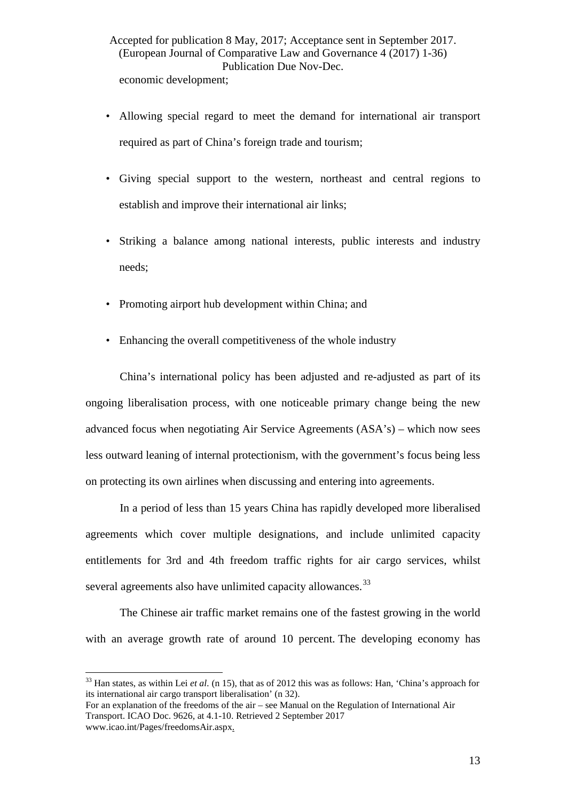- Allowing special regard to meet the demand for international air transport required as part of China's foreign trade and tourism;
- Giving special support to the western, northeast and central regions to establish and improve their international air links;
- Striking a balance among national interests, public interests and industry needs;
- Promoting airport hub development within China; and
- Enhancing the overall competitiveness of the whole industry

China's international policy has been adjusted and re-adjusted as part of its ongoing liberalisation process, with one noticeable primary change being the new advanced focus when negotiating Air Service Agreements (ASA's) – which now sees less outward leaning of internal protectionism, with the government's focus being less on protecting its own airlines when discussing and entering into agreements.

In a period of less than 15 years China has rapidly developed more liberalised agreements which cover multiple designations, and include unlimited capacity entitlements for 3rd and 4th freedom traffic rights for air cargo services, whilst several agreements also have unlimited capacity allowances.<sup>[33](#page-13-0)</sup>

<span id="page-13-1"></span>The Chinese air traffic market remains one of the fastest growing in the world with an average growth rate of around 10 percent. The developing economy has

<span id="page-13-0"></span><sup>33</sup> Han states, as within Lei *et al.* (n [15\)](#page-8-7), that as of 2012 this was as follows: Han, 'China's approach for its international air cargo transport liberalisation' ([n 32\)](#page-12-5).  $\frac{1}{2}$ 

For an explanation of the freedoms of the air – see Manual on the Regulation of International Air Transport. ICAO Doc. 9626, at 4.1-10. Retrieved 2 September 2017 www.icao.int/Pages/freedomsAir.aspx.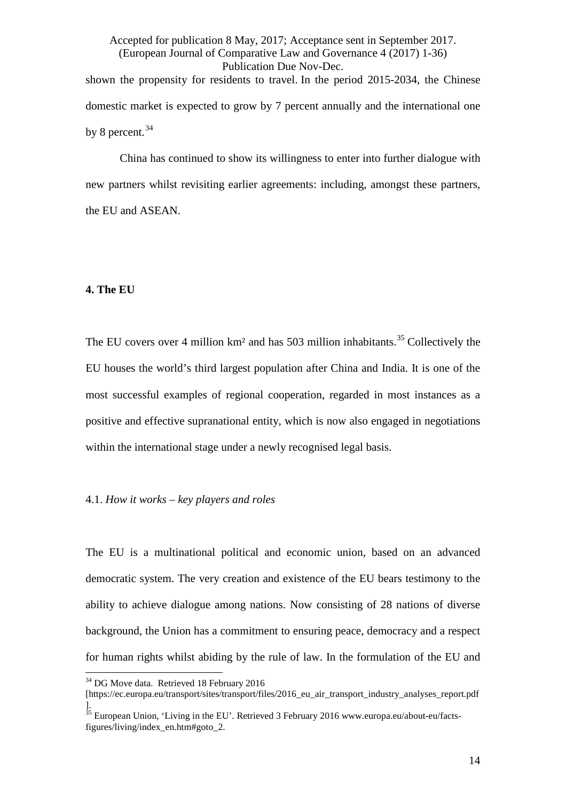Accepted for publication 8 May, 2017; Acceptance sent in September 2017. (European Journal of Comparative Law and Governance 4 (2017) 1-36) Publication Due Nov-Dec. shown the propensity for residents to travel. In the period 2015-2034, the Chinese domestic market is expected to grow by 7 percent annually and the international one by 8 percent. [34](#page-14-0)

China has continued to show its willingness to enter into further dialogue with new partners whilst revisiting earlier agreements: including, amongst these partners, the EU and ASEAN.

# **4. The EU**

The EU covers over 4 million  $km<sup>2</sup>$  and has 503 million inhabitants.<sup>[35](#page-14-1)</sup> Collectively the EU houses the world's third largest population after China and India. It is one of the most successful examples of regional cooperation, regarded in most instances as a positive and effective supranational entity, which is now also engaged in negotiations within the international stage under a newly recognised legal basis.

#### 4.1. *How it works – key players and roles*

The EU is a multinational political and economic union, based on an advanced democratic system. The very creation and existence of the EU bears testimony to the ability to achieve dialogue among nations. Now consisting of 28 nations of diverse background, the Union has a commitment to ensuring peace, democracy and a respect for human rights whilst abiding by the rule of law. In the formulation of the EU and

 $34$  DG Move data. Retrieved 18 February 2016  $\frac{1}{2}$ 

<span id="page-14-0"></span><sup>[</sup>https://ec.europa.eu/transport/sites/transport/files/2016\_eu\_air\_transport\_industry\_analyses\_report.pdf ].

<span id="page-14-1"></span> $35$  European Union, 'Living in the EU'. Retrieved 3 February 2016 www.europa.eu/about-eu/factsfigures/living/index\_en.htm#goto\_2.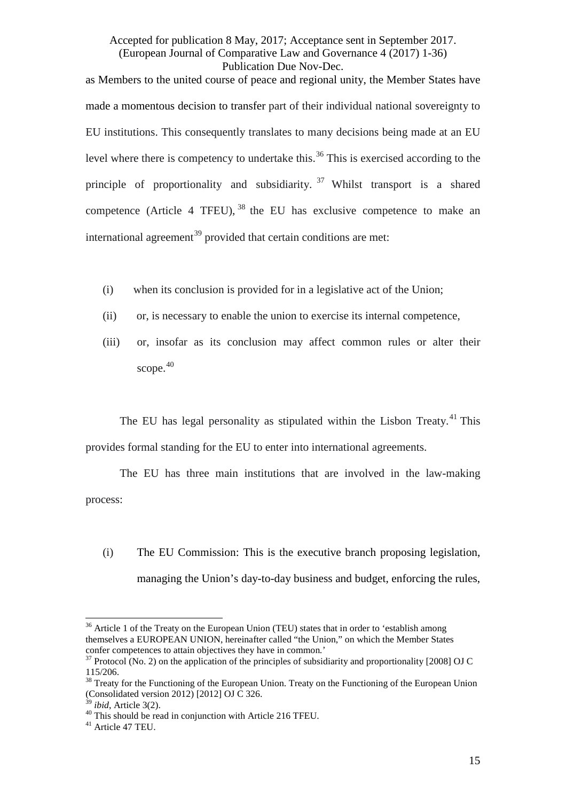as Members to the united course of peace and regional unity, the Member States have made a momentous decision to transfer part of their individual national sovereignty to EU institutions. This consequently translates to many decisions being made at an EU level where there is competency to undertake this.<sup>[36](#page-15-0)</sup> This is exercised according to the principle of proportionality and subsidiarity.  $37$  Whilst transport is a shared competence (Article 4 TFEU),  $38$  the EU has exclusive competence to make an international agreement<sup>[39](#page-15-3)</sup> provided that certain conditions are met:

- (i) when its conclusion is provided for in a legislative act of the Union;
- (ii) or, is necessary to enable the union to exercise its internal competence,
- (iii) or, insofar as its conclusion may affect common rules or alter their scope. [40](#page-15-4)

The EU has legal personality as stipulated within the Lisbon Treaty.<sup>[41](#page-15-5)</sup> This provides formal standing for the EU to enter into international agreements.

The EU has three main institutions that are involved in the law-making process:

(i) The EU Commission: This is the executive branch proposing legislation, managing the Union's day-to-day business and budget, enforcing the rules,

<span id="page-15-0"></span> $36$  Article 1 of the Treaty on the European Union (TEU) states that in order to 'establish among themselves a EUROPEAN UNION, hereinafter called "the Union," on which the Member States  $\frac{1}{2}$ 

<span id="page-15-1"></span><sup>&</sup>lt;sup>37</sup> Protocol (No. 2) on the application of the principles of subsidiarity and proportionality [2008] OJ C 115/206.

<span id="page-15-2"></span><sup>&</sup>lt;sup>38</sup> Treaty for the Functioning of the European Union. Treaty on the Functioning of the European Union (Consolidated version 2012) [2012] OJ  $\dot{C}$  326.

<span id="page-15-5"></span><span id="page-15-4"></span><span id="page-15-3"></span><sup>&</sup>lt;sup>39</sup> *ibid*, Article 3(2).<br><sup>40</sup> This should be read in conjunction with Article 216 TFEU.<br><sup>41</sup> Article 47 TEU.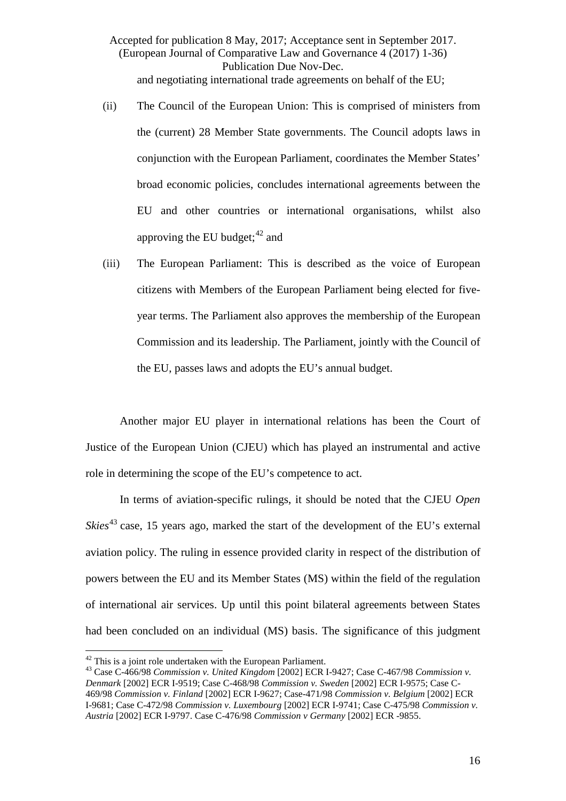Accepted for publication 8 May, 2017; Acceptance sent in September 2017. (European Journal of Comparative Law and Governance 4 (2017) 1-36) Publication Due Nov-Dec. and negotiating international trade agreements on behalf of the EU;

- (ii) The Council of the European Union: This is comprised of ministers from the (current) 28 Member State governments. The Council adopts laws in conjunction with the European Parliament, coordinates the Member States' broad economic policies, concludes international agreements between the EU and other countries or international organisations, whilst also approving the EU budget;<sup>[42](#page-16-0)</sup> and
- (iii) The European Parliament: This is described as the voice of European citizens with Members of the European Parliament being elected for fiveyear terms. The Parliament also approves the membership of the European Commission and its leadership. The Parliament, jointly with the Council of the EU, passes laws and adopts the EU's annual budget.

Another major EU player in international relations has been the Court of Justice of the European Union (CJEU) which has played an instrumental and active role in determining the scope of the EU's competence to act.

In terms of aviation-specific rulings, it should be noted that the CJEU *Open Skies*<sup>[43](#page-16-1)</sup> case, 15 years ago, marked the start of the development of the EU's external aviation policy. The ruling in essence provided clarity in respect of the distribution of powers between the EU and its Member States (MS) within the field of the regulation of international air services. Up until this point bilateral agreements between States had been concluded on an individual (MS) basis. The significance of this judgment

 $42$  This is a joint role undertaken with the European Parliament.

<span id="page-16-1"></span><span id="page-16-0"></span><sup>&</sup>lt;sup>43</sup> Case C-466/98 *Commission v. United Kingdom* [2002] ECR I-9427; Case C-467/98 *Commission v. Denmark* [2002] ECR I-9519; Case C-468/98 *Commission v. Sweden* [2002] ECR I-9575; Case C-469/98 *Commission v. Finland* [2002] ECR I-9627; Case-471/98 *Commission v. Belgium* [2002] ECR I-9681; Case C-472/98 *Commission v. Luxembourg* [2002] ECR I-9741; Case C-475/98 *Commission v. Austria* [2002] ECR I-9797. Case C-476/98 *Commission v Germany* [2002] ECR -9855.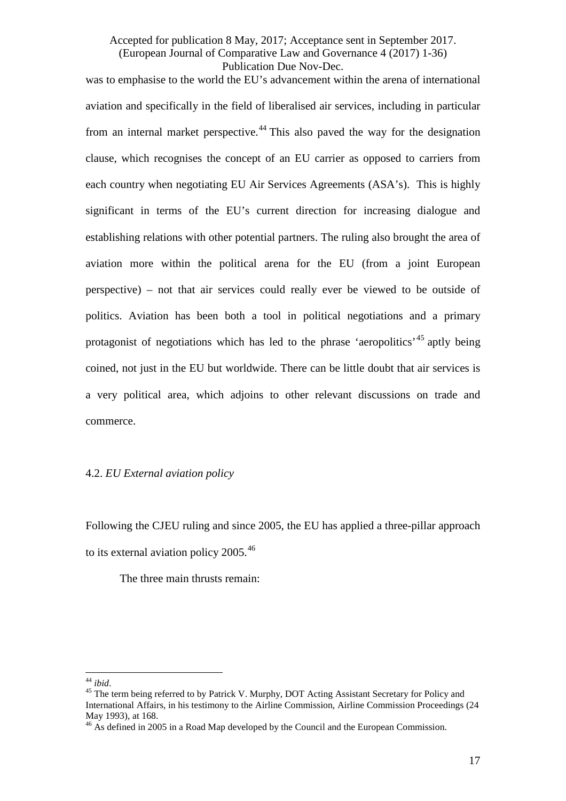was to emphasise to the world the EU's advancement within the arena of international aviation and specifically in the field of liberalised air services, including in particular from an internal market perspective.<sup>[44](#page-17-0)</sup> This also paved the way for the designation clause, which recognises the concept of an EU carrier as opposed to carriers from each country when negotiating EU Air Services Agreements (ASA's). This is highly significant in terms of the EU's current direction for increasing dialogue and establishing relations with other potential partners. The ruling also brought the area of aviation more within the political arena for the EU (from a joint European perspective) – not that air services could really ever be viewed to be outside of politics. Aviation has been both a tool in political negotiations and a primary protagonist of negotiations which has led to the phrase 'aeropolitics'<sup>[45](#page-17-1)</sup> aptly being coined, not just in the EU but worldwide. There can be little doubt that air services is a very political area, which adjoins to other relevant discussions on trade and commerce.

# <span id="page-17-3"></span>4.2. *EU External aviation policy*

Following the CJEU ruling and since 2005, the EU has applied a three-pillar approach to its external aviation policy 2005.<sup>[46](#page-17-2)</sup>

The three main thrusts remain:

<span id="page-17-0"></span> $44$  ibid.

<span id="page-17-1"></span><sup>&</sup>lt;sup>45</sup> The term being referred to by Patrick V. Murphy, DOT Acting Assistant Secretary for Policy and International Affairs, in his testimony to the Airline Commission, Airline Commission Proceedings (24 May 1993), at 168.

<span id="page-17-2"></span><sup>&</sup>lt;sup>46</sup> As defined in 2005 in a Road Map developed by the Council and the European Commission.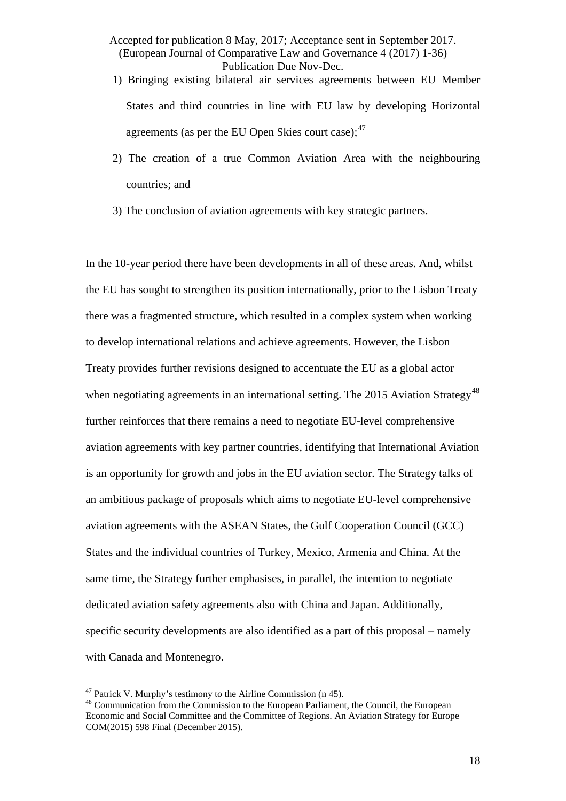- 1) Bringing existing bilateral air services agreements between EU Member States and third countries in line with EU law by developing Horizontal agreements (as per the EU Open Skies court case);  $47$
- 2) The creation of a true Common Aviation Area with the neighbouring countries; and
- 3) The conclusion of aviation agreements with key strategic partners.

In the 10-year period there have been developments in all of these areas. And, whilst the EU has sought to strengthen its position internationally, prior to the Lisbon Treaty there was a fragmented structure, which resulted in a complex system when working to develop international relations and achieve agreements. However, the Lisbon Treaty provides further revisions designed to accentuate the EU as a global actor when negotiating agreements in an international setting. The 2015 Aviation Strategy<sup>[48](#page-18-1)</sup> further reinforces that there remains a need to negotiate EU-level comprehensive aviation agreements with key partner countries, identifying that International Aviation is an opportunity for growth and jobs in the EU aviation sector. The Strategy talks of an ambitious package of proposals which aims to negotiate EU-level comprehensive aviation agreements with the ASEAN States, the Gulf Cooperation Council (GCC) States and the individual countries of Turkey, Mexico, Armenia and China. At the same time, the Strategy further emphasises, in parallel, the intention to negotiate dedicated aviation safety agreements also with China and Japan. Additionally, specific security developments are also identified as a part of this proposal – namely with Canada and Montenegro.

 $47$  Patrick V. Murphy's testimony to the Airline Commission (n 45).

<span id="page-18-1"></span><span id="page-18-0"></span><sup>&</sup>lt;sup>48</sup> Communication from the Commission to the European Parliament, the Council, the European Economic and Social Committee and the Committee of Regions. An Aviation Strategy for Europe COM(2015) 598 Final (December 2015).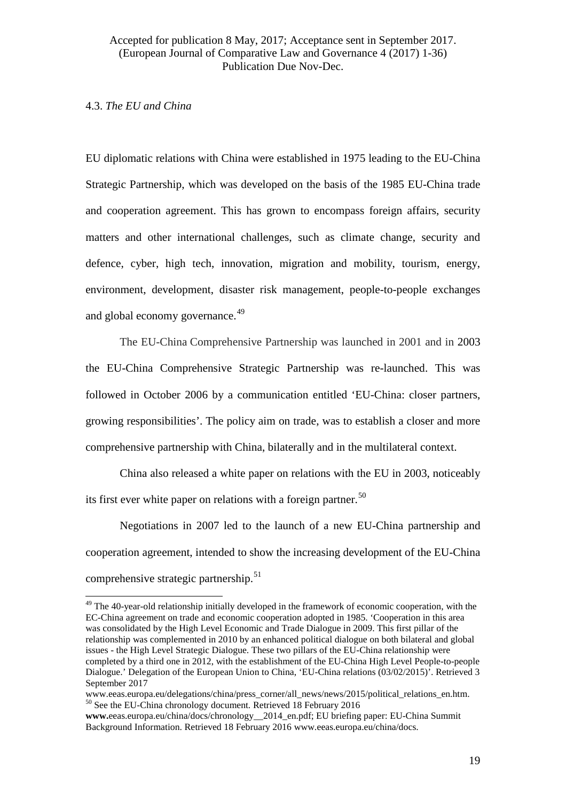#### 4.3. *The EU and China*

EU diplomatic relations with China were established in 1975 leading to the EU-China Strategic Partnership, which was developed on the basis of the 1985 EU-China trade and cooperation agreement. This has grown to encompass foreign affairs, security matters and other international challenges, such as climate change, security and defence, cyber, high tech, innovation, migration and mobility, tourism, energy, environment, development, disaster risk management, people-to-people exchanges and global economy governance.<sup>[49](#page-19-0)</sup>

<span id="page-19-3"></span>The EU-China Comprehensive Partnership was launched in 2001 and in 2003 the EU-China Comprehensive Strategic Partnership was re-launched. This was followed in October 2006 by a communication entitled 'EU-China: closer partners, growing responsibilities'. The policy aim on trade, was to establish a closer and more comprehensive partnership with China, bilaterally and in the multilateral context.

<span id="page-19-4"></span>China also released a white paper on relations with the EU in 2003, noticeably its first ever white paper on relations with a foreign partner.<sup>[50](#page-19-1)</sup>

Negotiations in 2007 led to the launch of a new EU-China partnership and cooperation agreement, intended to show the increasing development of the EU-China comprehensive strategic partnership. $51$ 

<span id="page-19-0"></span><sup>&</sup>lt;sup>49</sup> The 40-year-old relationship initially developed in the framework of economic cooperation, with the EC-China agreement on trade and economic cooperation adopted in 1985. 'Cooperation in this area was consolidated by the High Level Economic and Trade Dialogue in 2009. This first pillar of the relationship was complemented in 2010 by an enhanced political dialogue on both bilateral and global issues - the High Level Strategic Dialogue. These two pillars of the EU-China relationship were completed by a third one in 2012, with the establishment of the EU-China High Level People-to-people Dialogue.' Delegation of the European Union to China, 'EU-China relations (03/02/2015)'. Retrieved 3 September 2017  $\overline{1}$ 

<span id="page-19-2"></span><span id="page-19-1"></span>www.eeas.europa.eu/delegations/china/press\_corner/all\_news/news/2015/political\_relations\_en.htm. <sup>50</sup> See the EU-China chronology document. Retrieved 18 February 2016

**www.**eeas.europa.eu/china/docs/chronology\_\_2014\_en.pdf; EU briefing paper: EU-China Summit Background Information. Retrieved 18 February 2016 www.eeas.europa.eu/china/docs.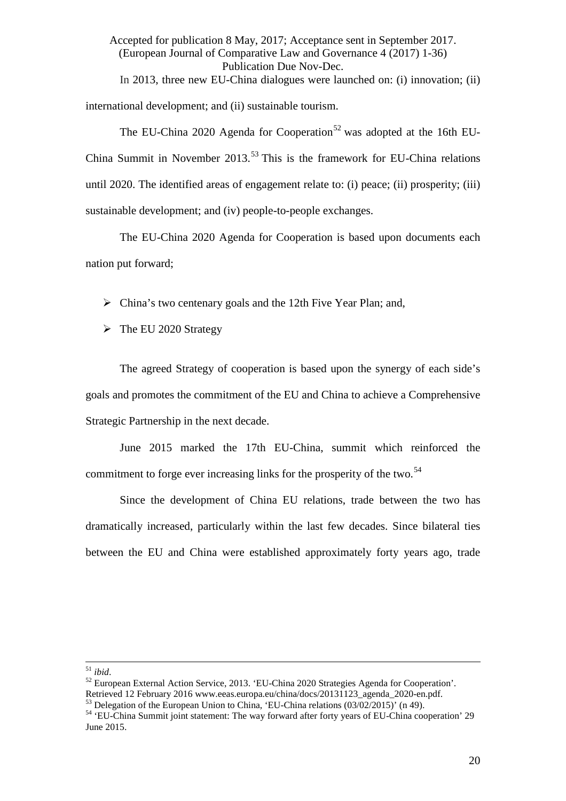Accepted for publication 8 May, 2017; Acceptance sent in September 2017. (European Journal of Comparative Law and Governance 4 (2017) 1-36) Publication Due Nov-Dec. In 2013, three new EU-China dialogues were launched on: (i) innovation; (ii) international development; and (ii) sustainable tourism.

<span id="page-20-3"></span>The EU-China 2020 Agenda for Cooperation<sup>[52](#page-20-0)</sup> was adopted at the 16th EU-China Summit in November 2013.<sup>[53](#page-20-1)</sup> This is the framework for EU-China relations until 2020. The identified areas of engagement relate to: (i) peace; (ii) prosperity; (iii) sustainable development; and (iv) people-to-people exchanges.

The EU-China 2020 Agenda for Cooperation is based upon documents each nation put forward;

 $\triangleright$  China's two centenary goals and the 12th Five Year Plan; and,

 $\triangleright$  The EU 2020 Strategy

The agreed Strategy of cooperation is based upon the synergy of each side's goals and promotes the commitment of the EU and China to achieve a Comprehensive Strategic Partnership in the next decade.

June 2015 marked the 17th EU-China, summit which reinforced the commitment to forge ever increasing links for the prosperity of the two.<sup>[54](#page-20-2)</sup>

Since the development of China EU relations, trade between the two has dramatically increased, particularly within the last few decades. Since bilateral ties between the EU and China were established approximately forty years ago, trade

 $51$  ibid.

<span id="page-20-0"></span><sup>&</sup>lt;sup>52</sup> European External Action Service, 2013. 'EU-China 2020 Strategies Agenda for Cooperation'.<br>Retrieved 12 February 2016 www.eeas.europa.eu/china/docs/20131123 agenda 2020-en.pdf.

<span id="page-20-2"></span><span id="page-20-1"></span> $^{53}$  Delegation of the European Union to China, 'EU-China relations (03/02/2015)' ([n 49\)](#page-19-3).<br><sup>54</sup> 'EU-China Summit ioint statement: The way forward after forty years of EU-China cooperation' 29 June 2015.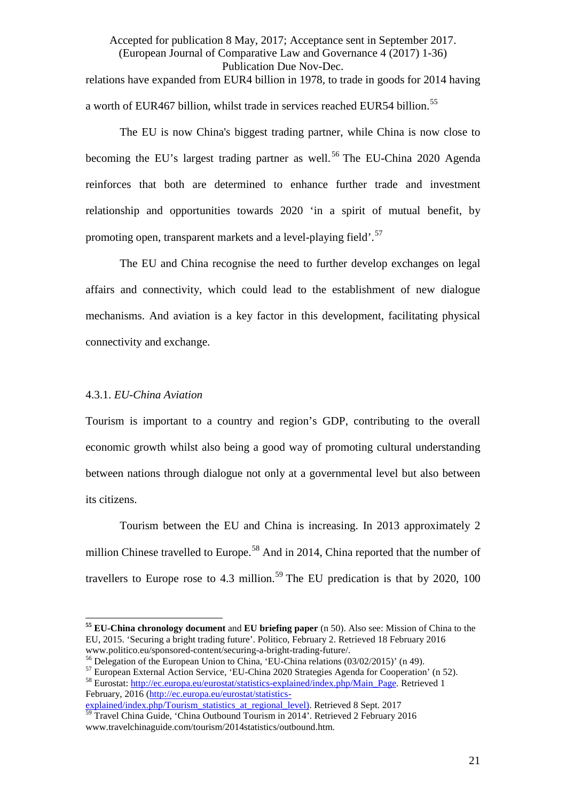Accepted for publication 8 May, 2017; Acceptance sent in September 2017. (European Journal of Comparative Law and Governance 4 (2017) 1-36) Publication Due Nov-Dec. relations have expanded from EUR4 billion in 1978, to trade in goods for 2014 having a worth of EUR467 billion, whilst trade in services reached EUR54 billion.<sup>[55](#page-21-0)</sup>

The EU is now China's biggest trading partner, while China is now close to becoming the EU's largest trading partner as well.<sup>[56](#page-21-1)</sup> The EU-China 2020 Agenda reinforces that both are determined to enhance further trade and investment relationship and opportunities towards 2020 'in a spirit of mutual benefit, by promoting open, transparent markets and a level-playing field'.<sup>[57](#page-21-2)</sup>

The EU and China recognise the need to further develop exchanges on legal affairs and connectivity, which could lead to the establishment of new dialogue mechanisms. And aviation is a key factor in this development, facilitating physical connectivity and exchange.

#### 4.3.1. *EU-China Aviation*

Tourism is important to a country and region's GDP, contributing to the overall economic growth whilst also being a good way of promoting cultural understanding between nations through dialogue not only at a governmental level but also between its citizens.

Tourism between the EU and China is increasing. In 2013 approximately 2 million Chinese travelled to Europe.<sup>[58](#page-21-3)</sup> And in 2014, China reported that the number of travellers to Europe rose to 4.3 million.<sup>[59](#page-21-4)</sup> The EU predication is that by 2020, 100

<span id="page-21-0"></span>**<sup>55</sup> EU-China chronology document** and **EU briefing paper** (n [50\)](#page-19-4). Also see: Mission of China to the EU, 2015. 'Securing a bright trading future'. Politico, February 2. Retrieved 18 February 2016  $\overline{a}$ 

<span id="page-21-2"></span>

<span id="page-21-1"></span><sup>&</sup>lt;sup>56</sup> Delegation of the European Union to China, 'EU-China relations (03/02/2015)' ([n 49\)](#page-19-3).<br><sup>57</sup> European External Action Service, 'EU-China 2020 Strategies Agenda for Cooperation' ([n 52\)](#page-20-3).<br><sup>58</sup> Eurostat: http://ec.europa.eu

<span id="page-21-3"></span>February, 2016 [\(http://ec.europa.eu/eurostat/statistics-](http://ec.europa.eu/eurostat/statistics-explained/index.php/Tourism_statistics_at_regional_level))

<span id="page-21-4"></span>[explained/index.php/Tourism\\_statistics\\_at\\_regional\\_level\).](http://ec.europa.eu/eurostat/statistics-explained/index.php/Tourism_statistics_at_regional_level)) Retrieved 8 Sept. 2017 <sup>59</sup> Travel China Guide, 'China Outbound Tourism in 2014'. Retrieved 2 February 2016 www.travelchinaguide.com/tourism/2014statistics/outbound.htm.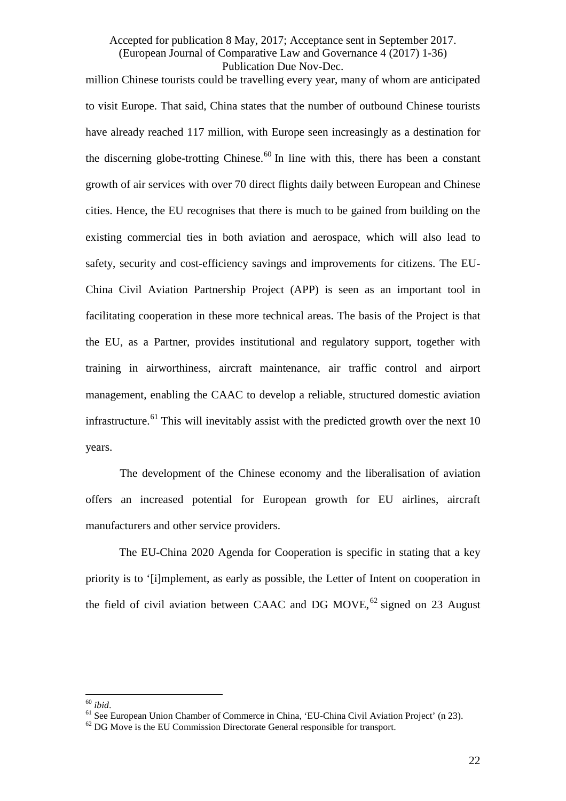million Chinese tourists could be travelling every year, many of whom are anticipated to visit Europe. That said, China states that the number of outbound Chinese tourists have already reached 117 million, with Europe seen increasingly as a destination for the discerning globe-trotting Chinese.<sup>[60](#page-22-0)</sup> In line with this, there has been a constant growth of air services with over 70 direct flights daily between European and Chinese cities. Hence, the EU recognises that there is much to be gained from building on the existing commercial ties in both aviation and aerospace, which will also lead to safety, security and cost-efficiency savings and improvements for citizens. The EU-China Civil Aviation Partnership Project (APP) is seen as an important tool in facilitating cooperation in these more technical areas. The basis of the Project is that the EU, as a Partner, provides institutional and regulatory support, together with training in airworthiness, aircraft maintenance, air traffic control and airport management, enabling the CAAC to develop a reliable, structured domestic aviation infrastructure.<sup>[61](#page-22-1)</sup> This will inevitably assist with the predicted growth over the next 10 years.

The development of the Chinese economy and the liberalisation of aviation offers an increased potential for European growth for EU airlines, aircraft manufacturers and other service providers.

The EU-China 2020 Agenda for Cooperation is specific in stating that a key priority is to '[i]mplement, as early as possible, the Letter of Intent on cooperation in the field of civil aviation between CAAC and DG MOVE,  $62$  signed on 23 August

<span id="page-22-0"></span> $60$  ibid.

<span id="page-22-2"></span><span id="page-22-1"></span><sup>&</sup>lt;sup>61</sup> See European Union Chamber of Commerce in China, 'EU-China Civil Aviation Project' (n [23\)](#page-10-5). <sup>62</sup> DG Move is the EU Commission Directorate General responsible for transport.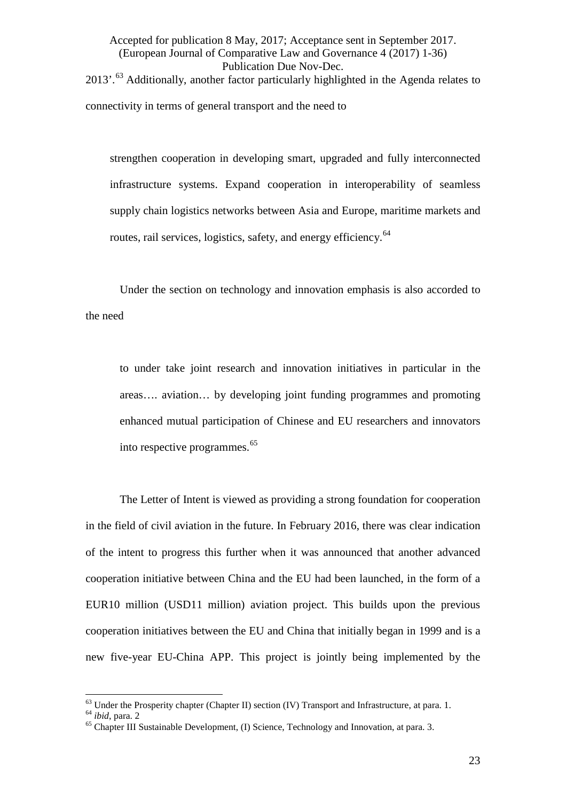Accepted for publication 8 May, 2017; Acceptance sent in September 2017. (European Journal of Comparative Law and Governance 4 (2017) 1-36) Publication Due Nov-Dec. 2013'.<sup>[63](#page-23-0)</sup> Additionally, another factor particularly highlighted in the Agenda relates to connectivity in terms of general transport and the need to

strengthen cooperation in developing smart, upgraded and fully interconnected infrastructure systems. Expand cooperation in interoperability of seamless supply chain logistics networks between Asia and Europe, maritime markets and routes, rail services, logistics, safety, and energy efficiency.<sup>[64](#page-23-1)</sup>

Under the section on technology and innovation emphasis is also accorded to the need

to under take joint research and innovation initiatives in particular in the areas…. aviation… by developing joint funding programmes and promoting enhanced mutual participation of Chinese and EU researchers and innovators into respective programmes.[65](#page-23-2)

The Letter of Intent is viewed as providing a strong foundation for cooperation in the field of civil aviation in the future. In February 2016, there was clear indication of the intent to progress this further when it was announced that another advanced cooperation initiative between China and the EU had been launched, in the form of a EUR10 million (USD11 million) aviation project. This builds upon the previous cooperation initiatives between the EU and China that initially began in 1999 and is a new five-year EU-China APP. This project is jointly being implemented by the

<span id="page-23-0"></span> $63$  Under the Prosperity chapter (Chapter II) section (IV) Transport and Infrastructure, at para. 1.

<span id="page-23-2"></span><span id="page-23-1"></span><sup>&</sup>lt;sup>64</sup> ibid, para. 2<br><sup>65</sup> Chapter III Sustainable Development, (I) Science, Technology and Innovation, at para. 3.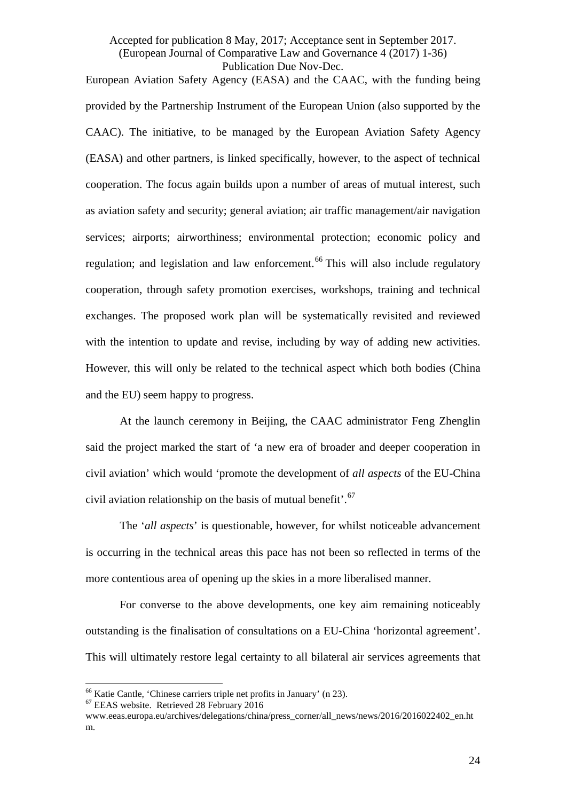European Aviation Safety Agency (EASA) and the CAAC, with the funding being provided by the Partnership Instrument of the European Union (also supported by the CAAC). The initiative, to be managed by the European Aviation Safety Agency (EASA) and other partners, is linked specifically, however, to the aspect of technical cooperation. The focus again builds upon a number of areas of mutual interest, such as aviation safety and security; general aviation; air traffic management/air navigation services; airports; airworthiness; environmental protection; economic policy and regulation; and legislation and law enforcement.<sup>[66](#page-24-0)</sup> This will also include regulatory cooperation, through safety promotion exercises, workshops, training and technical exchanges. The proposed work plan will be systematically revisited and reviewed with the intention to update and revise, including by way of adding new activities. However, this will only be related to the technical aspect which both bodies (China and the EU) seem happy to progress.

At the launch ceremony in Beijing, the CAAC administrator Feng Zhenglin said the project marked the start of 'a new era of broader and deeper cooperation in civil aviation' which would 'promote the development of *all aspects* of the EU-China civil aviation relationship on the basis of mutual benefit'.<sup>[67](#page-24-1)</sup>

The '*all aspects*' is questionable, however, for whilst noticeable advancement is occurring in the technical areas this pace has not been so reflected in terms of the more contentious area of opening up the skies in a more liberalised manner.

For converse to the above developments, one key aim remaining noticeably outstanding is the finalisation of consultations on a EU-China 'horizontal agreement'. This will ultimately restore legal certainty to all bilateral air services agreements that

<span id="page-24-0"></span><sup>&</sup>lt;sup>66</sup> Katie Cantle, 'Chinese carriers triple net profits in January' ([n 23\)](#page-10-5).<br><sup>67</sup> EEAS website. Retrieved 28 February 2016  $\overline{6}$ 

<span id="page-24-1"></span>www.eeas.europa.eu/archives/delegations/china/press\_corner/all\_news/news/2016/2016022402\_en.ht m.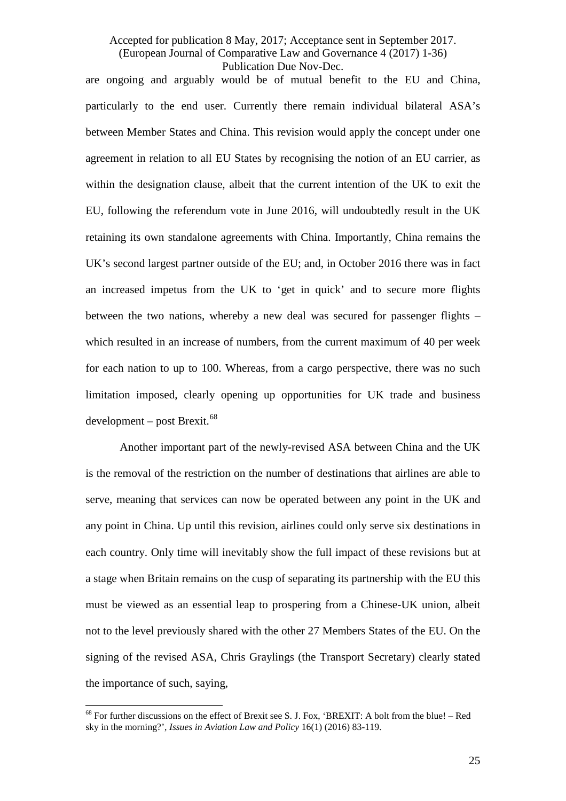are ongoing and arguably would be of mutual benefit to the EU and China, particularly to the end user. Currently there remain individual bilateral ASA's between Member States and China. This revision would apply the concept under one agreement in relation to all EU States by recognising the notion of an EU carrier, as within the designation clause, albeit that the current intention of the UK to exit the EU, following the referendum vote in June 2016, will undoubtedly result in the UK retaining its own standalone agreements with China. Importantly, China remains the UK's second largest partner outside of the EU; and, in October 2016 there was in fact an increased impetus from the UK to 'get in quick' and to secure more flights between the two nations, whereby a new deal was secured for passenger flights – which resulted in an increase of numbers, from the current maximum of 40 per week for each nation to up to 100. Whereas, from a cargo perspective, there was no such limitation imposed, clearly opening up opportunities for UK trade and business  $development - post Brexit.<sup>68</sup>$  $development - post Brexit.<sup>68</sup>$  $development - post Brexit.<sup>68</sup>$ 

Another important part of the newly-revised ASA between China and the UK is the removal of the restriction on the number of destinations that airlines are able to serve, meaning that services can now be operated between any point in the UK and any point in China. Up until this revision, airlines could only serve six destinations in each country. Only time will inevitably show the full impact of these revisions but at a stage when Britain remains on the cusp of separating its partnership with the EU this must be viewed as an essential leap to prospering from a Chinese-UK union, albeit not to the level previously shared with the other 27 Members States of the EU. On the signing of the revised ASA, Chris Graylings (the Transport Secretary) clearly stated the importance of such, saying,

<span id="page-25-0"></span> $68$  For further discussions on the effect of Brexit see S. J. Fox, 'BREXIT: A bolt from the blue! – Red sky in the morning?', *Issues in Aviation Law and Policy* 16(1) (2016) 83-119.  $\overline{6}$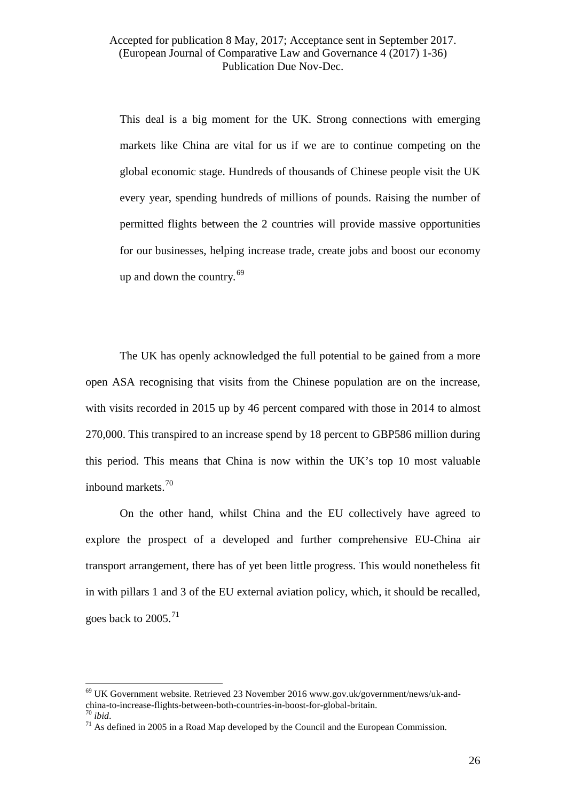This deal is a big moment for the UK. Strong connections with emerging markets like China are vital for us if we are to continue competing on the global economic stage. Hundreds of thousands of Chinese people visit the UK every year, spending hundreds of millions of pounds. Raising the number of permitted flights between the 2 countries will provide massive opportunities for our businesses, helping increase trade, create jobs and boost our economy up and down the country*.* [69](#page-26-0)

The UK has openly acknowledged the full potential to be gained from a more open ASA recognising that visits from the Chinese population are on the increase, with visits recorded in 2015 up by 46 percent compared with those in 2014 to almost 270,000. This transpired to an increase spend by 18 percent to GBP586 million during this period. This means that China is now within the UK's top 10 most valuable inbound markets.[70](#page-26-1)

On the other hand, whilst China and the EU collectively have agreed to explore the prospect of a developed and further comprehensive EU-China air transport arrangement, there has of yet been little progress. This would nonetheless fit in with pillars 1 and 3 of the EU external aviation policy, which, it should be recalled, goes back to  $2005.<sup>71</sup>$  $2005.<sup>71</sup>$  $2005.<sup>71</sup>$ 

<span id="page-26-0"></span> $69$  UK Government website. Retrieved 23 November 2016 www.gov.uk/government/news/uk-andchina-to-increase-flights-between-both-countries-in-boost-for-global-britain.<br><sup>70</sup> *ibid*. <sup>71</sup> As defined in 2005 in a Road Map developed by the Council and the European Commission.  $\overline{6}$ 

<span id="page-26-2"></span><span id="page-26-1"></span>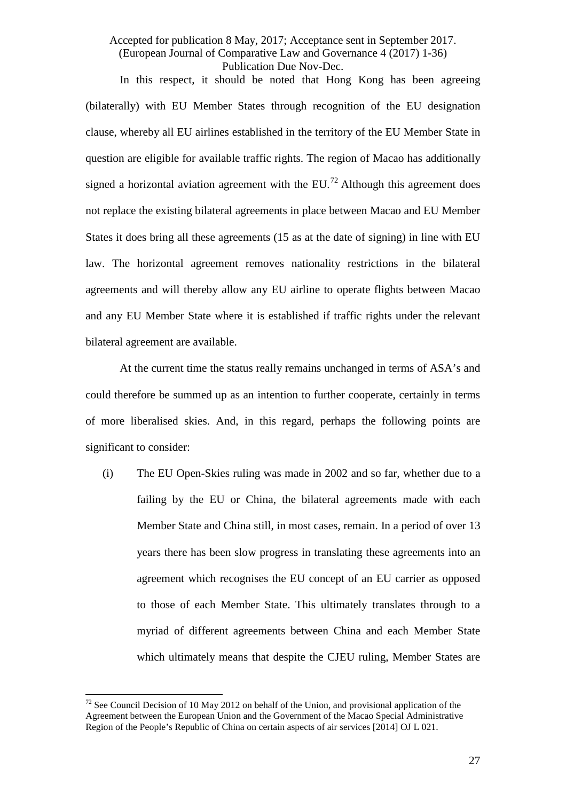In this respect, it should be noted that Hong Kong has been agreeing (bilaterally) with EU Member States through recognition of the EU designation clause, whereby all EU airlines established in the territory of the EU Member State in question are eligible for available traffic rights. The region of Macao has additionally signed a horizontal aviation agreement with the EU.<sup>[72](#page-27-0)</sup> Although this agreement does not replace the existing bilateral agreements in place between Macao and EU Member States it does bring all these agreements (15 as at the date of signing) in line with EU law. The horizontal agreement removes nationality restrictions in the bilateral agreements and will thereby allow any EU airline to operate flights between Macao and any EU Member State where it is established if traffic rights under the relevant bilateral agreement are available.

At the current time the status really remains unchanged in terms of ASA's and could therefore be summed up as an intention to further cooperate, certainly in terms of more liberalised skies. And, in this regard, perhaps the following points are significant to consider:

(i) The EU Open-Skies ruling was made in 2002 and so far, whether due to a failing by the EU or China, the bilateral agreements made with each Member State and China still, in most cases, remain. In a period of over 13 years there has been slow progress in translating these agreements into an agreement which recognises the EU concept of an EU carrier as opposed to those of each Member State. This ultimately translates through to a myriad of different agreements between China and each Member State which ultimately means that despite the CJEU ruling, Member States are

<span id="page-27-0"></span> $72$  See Council Decision of 10 May 2012 on behalf of the Union, and provisional application of the Agreement between the European Union and the Government of the Macao Special Administrative Region of the People's Republic of China on certain aspects of air services [2014] OJ L 021.  $\overline{1}$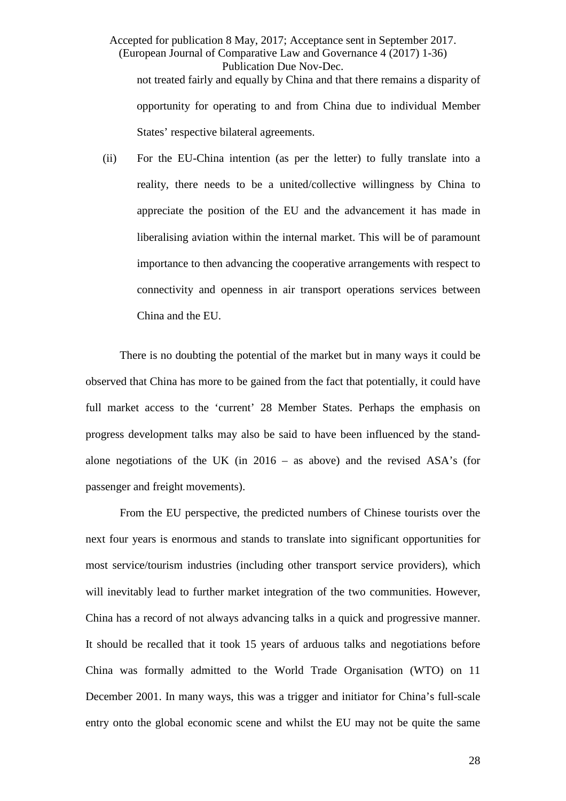Accepted for publication 8 May, 2017; Acceptance sent in September 2017. (European Journal of Comparative Law and Governance 4 (2017) 1-36) Publication Due Nov-Dec. not treated fairly and equally by China and that there remains a disparity of opportunity for operating to and from China due to individual Member States' respective bilateral agreements.

(ii) For the EU-China intention (as per the letter) to fully translate into a reality, there needs to be a united/collective willingness by China to appreciate the position of the EU and the advancement it has made in liberalising aviation within the internal market. This will be of paramount importance to then advancing the cooperative arrangements with respect to connectivity and openness in air transport operations services between China and the EU.

There is no doubting the potential of the market but in many ways it could be observed that China has more to be gained from the fact that potentially, it could have full market access to the 'current' 28 Member States. Perhaps the emphasis on progress development talks may also be said to have been influenced by the standalone negotiations of the UK (in  $2016 -$  as above) and the revised ASA's (for passenger and freight movements).

From the EU perspective, the predicted numbers of Chinese tourists over the next four years is enormous and stands to translate into significant opportunities for most service/tourism industries (including other transport service providers), which will inevitably lead to further market integration of the two communities. However, China has a record of not always advancing talks in a quick and progressive manner. It should be recalled that it took 15 years of arduous talks and negotiations before China was formally admitted to the World Trade Organisation (WTO) on 11 December 2001. In many ways, this was a trigger and initiator for China's full-scale entry onto the global economic scene and whilst the EU may not be quite the same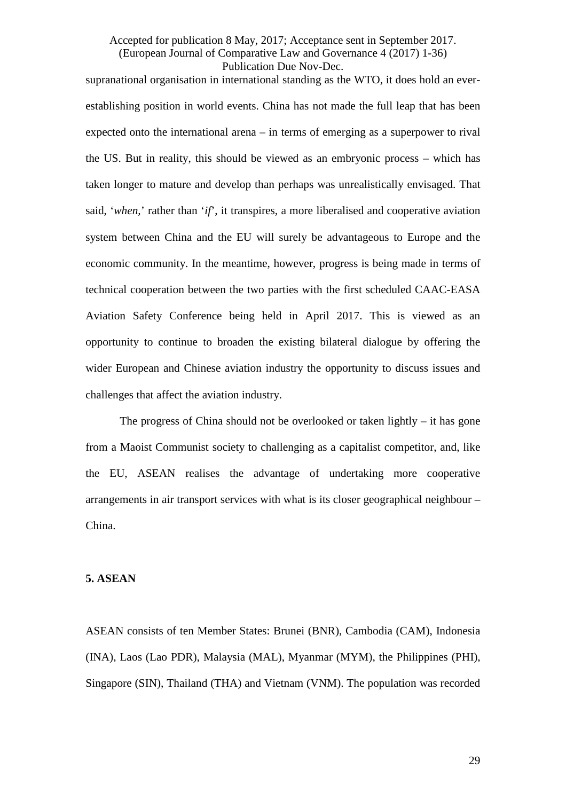supranational organisation in international standing as the WTO, it does hold an everestablishing position in world events. China has not made the full leap that has been expected onto the international arena – in terms of emerging as a superpower to rival the US. But in reality, this should be viewed as an embryonic process – which has taken longer to mature and develop than perhaps was unrealistically envisaged. That said, '*when,*' rather than '*if*', it transpires, a more liberalised and cooperative aviation system between China and the EU will surely be advantageous to Europe and the economic community. In the meantime, however, progress is being made in terms of technical cooperation between the two parties with the first scheduled CAAC-EASA Aviation Safety Conference being held in April 2017. This is viewed as an opportunity to continue to broaden the existing bilateral dialogue by offering the wider European and Chinese aviation industry the opportunity to discuss issues and challenges that affect the aviation industry.

The progress of China should not be overlooked or taken lightly – it has gone from a Maoist Communist society to challenging as a capitalist competitor, and, like the EU, ASEAN realises the advantage of undertaking more cooperative arrangements in air transport services with what is its closer geographical neighbour – China.

#### **5. ASEAN**

ASEAN consists of ten Member States: Brunei (BNR), Cambodia (CAM), Indonesia (INA), Laos (Lao PDR), Malaysia (MAL), Myanmar (MYM), the Philippines (PHI), Singapore (SIN), Thailand (THA) and Vietnam (VNM). The population was recorded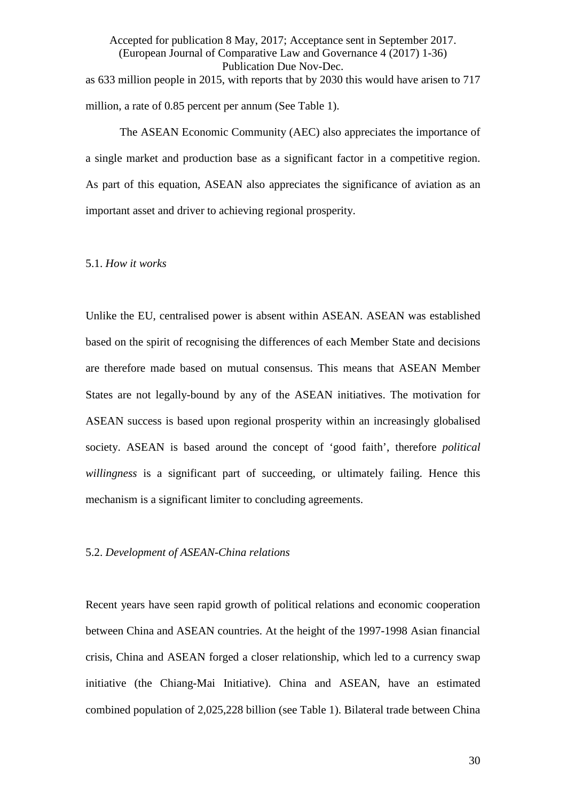Accepted for publication 8 May, 2017; Acceptance sent in September 2017. (European Journal of Comparative Law and Governance 4 (2017) 1-36) Publication Due Nov-Dec. as 633 million people in 2015, with reports that by 2030 this would have arisen to 717 million, a rate of 0.85 percent per annum (See Table 1).

The ASEAN Economic Community (AEC) also appreciates the importance of a single market and production base as a significant factor in a competitive region. As part of this equation, ASEAN also appreciates the significance of aviation as an important asset and driver to achieving regional prosperity.

#### 5.1. *How it works*

Unlike the EU, centralised power is absent within ASEAN. ASEAN was established based on the spirit of recognising the differences of each Member State and decisions are therefore made based on mutual consensus. This means that ASEAN Member States are not legally-bound by any of the ASEAN initiatives. The motivation for ASEAN success is based upon regional prosperity within an increasingly globalised society. ASEAN is based around the concept of 'good faith', therefore *political willingness* is a significant part of succeeding, or ultimately failing. Hence this mechanism is a significant limiter to concluding agreements.

#### 5.2. *Development of ASEAN-China relations*

Recent years have seen rapid growth of political relations and economic cooperation between China and ASEAN countries. At the height of the 1997-1998 Asian financial crisis, China and ASEAN forged a closer relationship, which led to a currency swap initiative (the Chiang-Mai Initiative). China and ASEAN, have an estimated combined population of 2,025,228 billion (see Table 1). Bilateral trade between China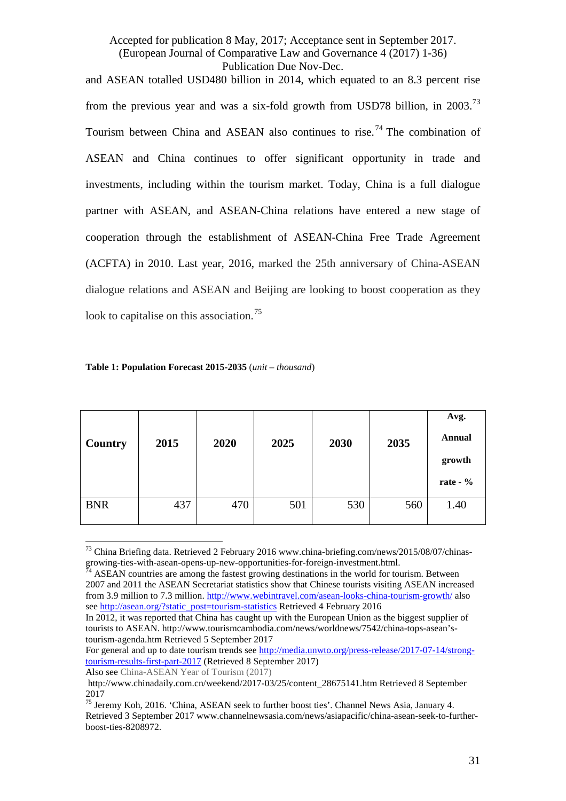and ASEAN totalled USD480 billion in 2014, which equated to an 8.3 percent rise from the previous year and was a six-fold growth from USD78 billion, in 2003.<sup>[73](#page-31-0)</sup> Tourism between China and ASEAN also continues to rise.<sup>[74](#page-31-1)</sup> The combination of ASEAN and China continues to offer significant opportunity in trade and investments, including within the tourism market. Today, China is a full dialogue partner with ASEAN, and ASEAN-China relations have entered a new stage of cooperation through the establishment of ASEAN-China Free Trade Agreement (ACFTA) in 2010. Last year, 2016, marked the 25th anniversary of China-ASEAN dialogue relations and ASEAN and Beijing are looking to boost cooperation as they look to capitalise on this association.<sup>[75](#page-31-2)</sup>

| <b>Country</b> | 2015 | 2020 | 2025 | 2030 | 2035 | Avg.<br><b>Annual</b><br>growth<br>rate - $\%$ |
|----------------|------|------|------|------|------|------------------------------------------------|
| <b>BNR</b>     | 437  | 470  | 501  | 530  | 560  | 1.40                                           |

#### **Table 1: Population Forecast 2015-2035** (*unit – thousand*)

For general and up to date tourism trends see [http://media.unwto.org/press-release/2017-07-14/strong](http://media.unwto.org/press-release/2017-07-14/strong-tourism-results-first-part-2017)[tourism-results-first-part-2017](http://media.unwto.org/press-release/2017-07-14/strong-tourism-results-first-part-2017) (Retrieved 8 September 2017)

Also see China-ASEAN Year of Tourism (2017)

<span id="page-31-0"></span> $^{73}$  China Briefing data. Retrieved 2 February 2016 www.china-briefing.com/news/2015/08/07/chinasgrowing-ties-with-asean-opens-up-new-opportunities-for-foreign-investment.html.<br>
<sup>74</sup> ASEAN countries are among the fastest growing destinations in the world for tourism. Between  $\overline{1}$ 

<span id="page-31-1"></span><sup>2007</sup> and 2011 the ASEAN Secretariat statistics show that Chinese tourists visiting ASEAN increased from 3.9 million to 7.3 million.<http://www.webintravel.com/asean-looks-china-tourism-growth/> also see [http://asean.org/?static\\_post=tourism-statistics](http://asean.org/?static_post=tourism-statistics) Retrieved 4 February 2016

In 2012, it was reported that China has caught up with the European Union as the biggest supplier of tourists to ASEAN. http://www.tourismcambodia.com/news/worldnews/7542/china-tops-asean'stourism-agenda.htm Retrieved 5 September 2017

http://www.chinadaily.com.cn/weekend/2017-03/25/content\_28675141.htm Retrieved 8 September 2017

<span id="page-31-2"></span><sup>75</sup> Jeremy Koh, 2016. 'China, ASEAN seek to further boost ties'. Channel News Asia, January 4. Retrieved 3 September 2017 www.channelnewsasia.com/news/asiapacific/china-asean-seek-to-furtherboost-ties-8208972.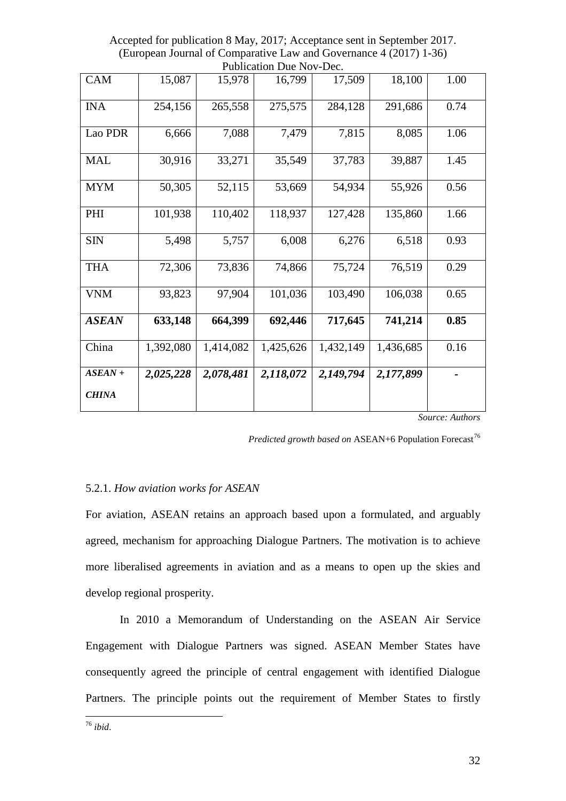| <b>CAM</b>                | 15,087    | 15,978    | 16,799    | 17,509    | 18,100    | 1.00 |
|---------------------------|-----------|-----------|-----------|-----------|-----------|------|
| <b>INA</b>                | 254,156   | 265,558   | 275,575   | 284,128   | 291,686   | 0.74 |
| Lao PDR                   | 6,666     | 7,088     | 7,479     | 7,815     | 8,085     | 1.06 |
| <b>MAL</b>                | 30,916    | 33,271    | 35,549    | 37,783    | 39,887    | 1.45 |
| <b>MYM</b>                | 50,305    | 52,115    | 53,669    | 54,934    | 55,926    | 0.56 |
| PHI                       | 101,938   | 110,402   | 118,937   | 127,428   | 135,860   | 1.66 |
| <b>SIN</b>                | 5,498     | 5,757     | 6,008     | 6,276     | 6,518     | 0.93 |
| <b>THA</b>                | 72,306    | 73,836    | 74,866    | 75,724    | 76,519    | 0.29 |
| <b>VNM</b>                | 93,823    | 97,904    | 101,036   | 103,490   | 106,038   | 0.65 |
| <b>ASEAN</b>              | 633,148   | 664,399   | 692,446   | 717,645   | 741,214   | 0.85 |
| China                     | 1,392,080 | 1,414,082 | 1,425,626 | 1,432,149 | 1,436,685 | 0.16 |
| $ASEAN +$<br><b>CHINA</b> | 2,025,228 | 2,078,481 | 2,118,072 | 2,149,794 | 2,177,899 |      |

Accepted for publication 8 May, 2017; Acceptance sent in September 2017. (European Journal of Comparative Law and Governance 4 (2017) 1-36) Publication Due Nov-Dec.

*Source: Authors*

*Predicted growth based on* ASEAN+6 Population Forecast<sup>[76](#page-32-0)</sup>

#### 5.2.1. *How aviation works for ASEAN*

For aviation, ASEAN retains an approach based upon a formulated, and arguably agreed, mechanism for approaching Dialogue Partners. The motivation is to achieve more liberalised agreements in aviation and as a means to open up the skies and develop regional prosperity.

In 2010 a Memorandum of Understanding on the ASEAN Air Service Engagement with Dialogue Partners was signed. ASEAN Member States have consequently agreed the principle of central engagement with identified Dialogue Partners. The principle points out the requirement of Member States to firstly

<span id="page-32-0"></span><sup>76</sup> *ibid*.  $\overline{1}$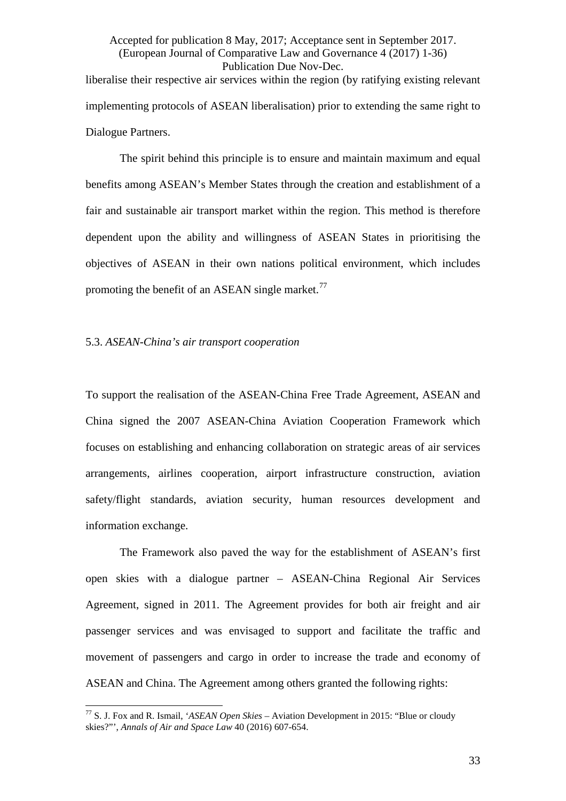# Accepted for publication 8 May, 2017; Acceptance sent in September 2017. (European Journal of Comparative Law and Governance 4 (2017) 1-36) Publication Due Nov-Dec. liberalise their respective air services within the region (by ratifying existing relevant implementing protocols of ASEAN liberalisation) prior to extending the same right to Dialogue Partners.

The spirit behind this principle is to ensure and maintain maximum and equal benefits among ASEAN's Member States through the creation and establishment of a fair and sustainable air transport market within the region. This method is therefore dependent upon the ability and willingness of ASEAN States in prioritising the objectives of ASEAN in their own nations political environment, which includes promoting the benefit of an ASEAN single market.<sup>[77](#page-33-0)</sup>

#### <span id="page-33-1"></span>5.3. *ASEAN-China's air transport cooperation*

To support the realisation of the ASEAN-China Free Trade Agreement, ASEAN and China signed the 2007 ASEAN-China Aviation Cooperation Framework which focuses on establishing and enhancing collaboration on strategic areas of air services arrangements, airlines cooperation, airport infrastructure construction, aviation safety/flight standards, aviation security, human resources development and information exchange.

The Framework also paved the way for the establishment of ASEAN's first open skies with a dialogue partner – ASEAN-China Regional Air Services Agreement, signed in 2011. The Agreement provides for both air freight and air passenger services and was envisaged to support and facilitate the traffic and movement of passengers and cargo in order to increase the trade and economy of ASEAN and China. The Agreement among others granted the following rights:

<span id="page-33-0"></span><sup>77</sup> S. J. Fox and R. Ismail, '*ASEAN Open Skies* – Aviation Development in 2015: "Blue or cloudy skies?"', *Annals of Air and Space Law* 40 (2016) 607-654.  $\overline{1}$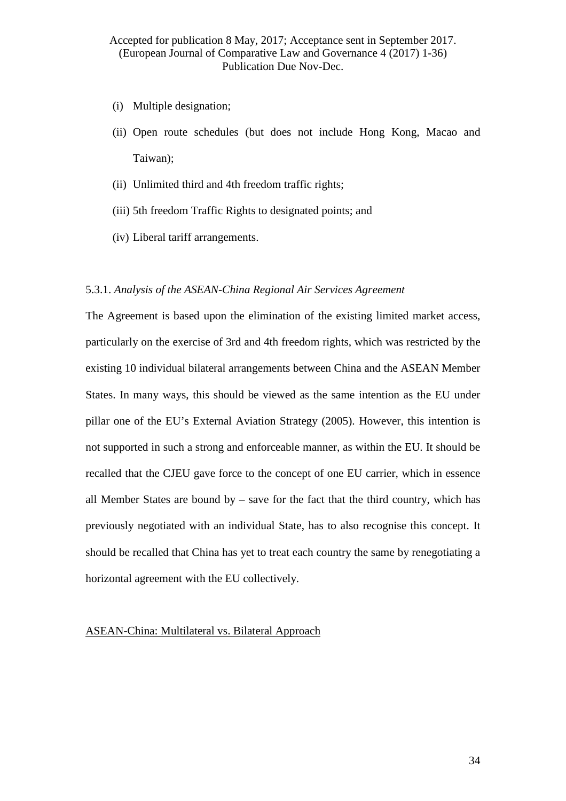- (i) Multiple designation;
- (ii) Open route schedules (but does not include Hong Kong, Macao and Taiwan);
- (ii) Unlimited third and 4th freedom traffic rights;
- (iii) 5th freedom Traffic Rights to designated points; and
- (iv) Liberal tariff arrangements.

#### 5.3.1. *Analysis of the ASEAN-China Regional Air Services Agreement*

The Agreement is based upon the elimination of the existing limited market access, particularly on the exercise of 3rd and 4th freedom rights, which was restricted by the existing 10 individual bilateral arrangements between China and the ASEAN Member States. In many ways, this should be viewed as the same intention as the EU under pillar one of the EU's External Aviation Strategy (2005). However, this intention is not supported in such a strong and enforceable manner, as within the EU. It should be recalled that the CJEU gave force to the concept of one EU carrier, which in essence all Member States are bound by – save for the fact that the third country, which has previously negotiated with an individual State, has to also recognise this concept. It should be recalled that China has yet to treat each country the same by renegotiating a horizontal agreement with the EU collectively.

# ASEAN-China: Multilateral vs. Bilateral Approach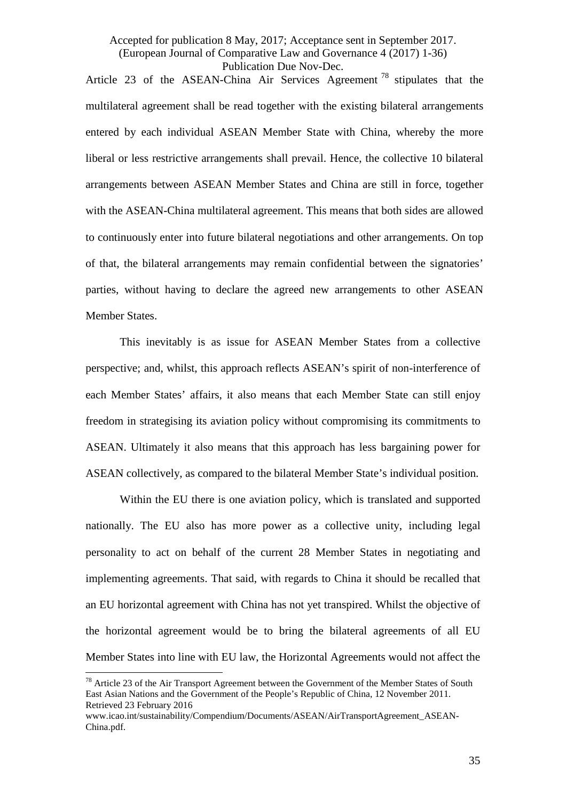Article 23 of the ASEAN-China Air Services Agreement  $^{78}$  $^{78}$  $^{78}$  stipulates that the multilateral agreement shall be read together with the existing bilateral arrangements entered by each individual ASEAN Member State with China, whereby the more liberal or less restrictive arrangements shall prevail. Hence, the collective 10 bilateral arrangements between ASEAN Member States and China are still in force, together with the ASEAN-China multilateral agreement. This means that both sides are allowed to continuously enter into future bilateral negotiations and other arrangements. On top of that, the bilateral arrangements may remain confidential between the signatories' parties, without having to declare the agreed new arrangements to other ASEAN Member States.

This inevitably is as issue for ASEAN Member States from a collective perspective; and, whilst, this approach reflects ASEAN's spirit of non-interference of each Member States' affairs, it also means that each Member State can still enjoy freedom in strategising its aviation policy without compromising its commitments to ASEAN. Ultimately it also means that this approach has less bargaining power for ASEAN collectively, as compared to the bilateral Member State's individual position.

Within the EU there is one aviation policy, which is translated and supported nationally. The EU also has more power as a collective unity, including legal personality to act on behalf of the current 28 Member States in negotiating and implementing agreements. That said, with regards to China it should be recalled that an EU horizontal agreement with China has not yet transpired. Whilst the objective of the horizontal agreement would be to bring the bilateral agreements of all EU Member States into line with EU law, the Horizontal Agreements would not affect the

<span id="page-35-0"></span> $78$  Article 23 of the Air Transport Agreement between the Government of the Member States of South East Asian Nations and the Government of the People's Republic of China, 12 November 2011. Retrieved 23 February 2016  $\overline{1}$ 

www.icao.int/sustainability/Compendium/Documents/ASEAN/AirTransportAgreement\_ASEAN-China.pdf.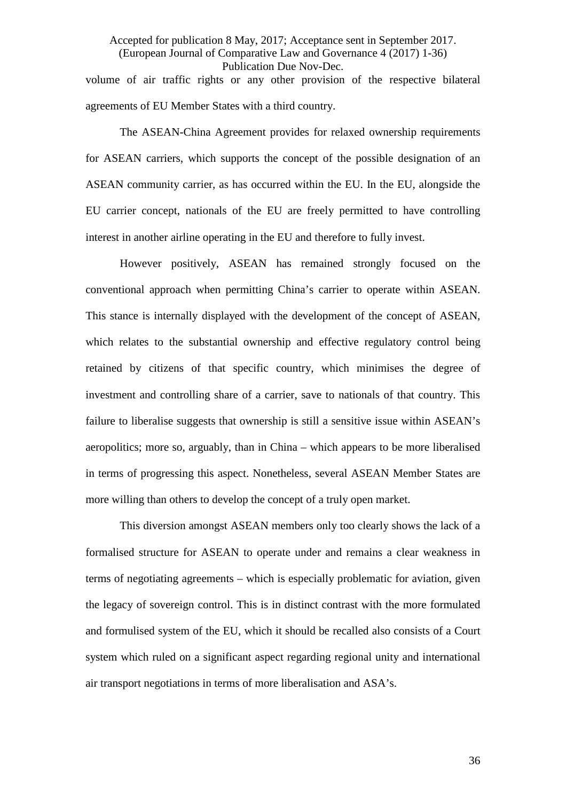Accepted for publication 8 May, 2017; Acceptance sent in September 2017. (European Journal of Comparative Law and Governance 4 (2017) 1-36) Publication Due Nov-Dec. volume of air traffic rights or any other provision of the respective bilateral agreements of EU Member States with a third country.

The ASEAN-China Agreement provides for relaxed ownership requirements for ASEAN carriers, which supports the concept of the possible designation of an ASEAN community carrier, as has occurred within the EU. In the EU, alongside the EU carrier concept, nationals of the EU are freely permitted to have controlling interest in another airline operating in the EU and therefore to fully invest.

However positively, ASEAN has remained strongly focused on the conventional approach when permitting China's carrier to operate within ASEAN. This stance is internally displayed with the development of the concept of ASEAN, which relates to the substantial ownership and effective regulatory control being retained by citizens of that specific country, which minimises the degree of investment and controlling share of a carrier, save to nationals of that country. This failure to liberalise suggests that ownership is still a sensitive issue within ASEAN's aeropolitics; more so, arguably, than in China – which appears to be more liberalised in terms of progressing this aspect. Nonetheless, several ASEAN Member States are more willing than others to develop the concept of a truly open market.

This diversion amongst ASEAN members only too clearly shows the lack of a formalised structure for ASEAN to operate under and remains a clear weakness in terms of negotiating agreements – which is especially problematic for aviation, given the legacy of sovereign control. This is in distinct contrast with the more formulated and formulised system of the EU, which it should be recalled also consists of a Court system which ruled on a significant aspect regarding regional unity and international air transport negotiations in terms of more liberalisation and ASA's.

36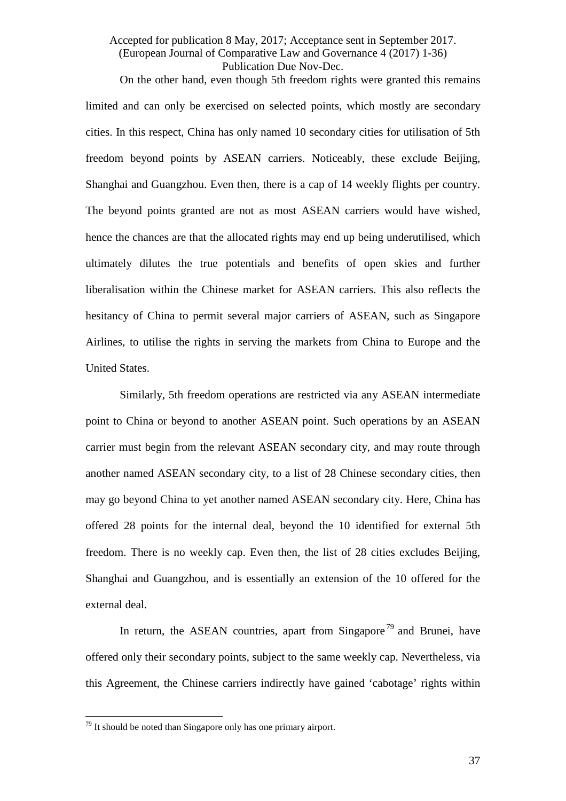On the other hand, even though 5th freedom rights were granted this remains limited and can only be exercised on selected points, which mostly are secondary cities. In this respect, China has only named 10 secondary cities for utilisation of 5th freedom beyond points by ASEAN carriers. Noticeably, these exclude Beijing, Shanghai and Guangzhou. Even then, there is a cap of 14 weekly flights per country. The beyond points granted are not as most ASEAN carriers would have wished, hence the chances are that the allocated rights may end up being underutilised, which ultimately dilutes the true potentials and benefits of open skies and further liberalisation within the Chinese market for ASEAN carriers. This also reflects the hesitancy of China to permit several major carriers of ASEAN, such as Singapore Airlines, to utilise the rights in serving the markets from China to Europe and the United States.

Similarly, 5th freedom operations are restricted via any ASEAN intermediate point to China or beyond to another ASEAN point. Such operations by an ASEAN carrier must begin from the relevant ASEAN secondary city, and may route through another named ASEAN secondary city, to a list of 28 Chinese secondary cities, then may go beyond China to yet another named ASEAN secondary city. Here, China has offered 28 points for the internal deal, beyond the 10 identified for external 5th freedom. There is no weekly cap. Even then, the list of 28 cities excludes Beijing, Shanghai and Guangzhou, and is essentially an extension of the 10 offered for the external deal.

In return, the ASEAN countries, apart from Singapore<sup>[79](#page-37-0)</sup> and Brunei, have offered only their secondary points, subject to the same weekly cap. Nevertheless, via this Agreement, the Chinese carriers indirectly have gained 'cabotage' rights within

<span id="page-37-0"></span> $79$  It should be noted than Singapore only has one primary airport.  $\overline{1}$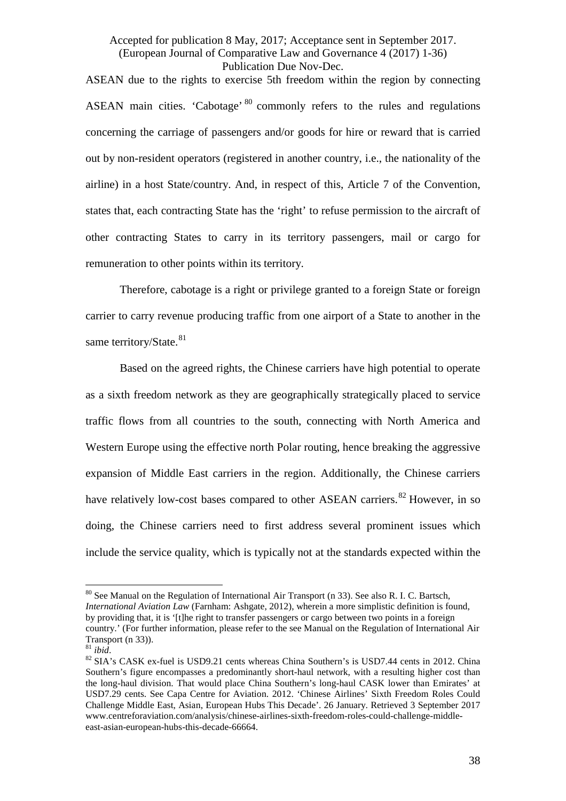ASEAN due to the rights to exercise 5th freedom within the region by connecting ASEAN main cities. 'Cabotage' <sup>[80](#page-38-0)</sup> commonly refers to the rules and regulations concerning the carriage of passengers and/or goods for hire or reward that is carried out by non-resident operators (registered in another country, i.e., the nationality of the airline) in a host State/country. And, in respect of this, Article 7 of the Convention, states that, each contracting State has the 'right' to refuse permission to the aircraft of other contracting States to carry in its territory passengers, mail or cargo for remuneration to other points within its territory.

Therefore, cabotage is a right or privilege granted to a foreign State or foreign carrier to carry revenue producing traffic from one airport of a State to another in the same territory/State.<sup>[81](#page-38-1)</sup>

Based on the agreed rights, the Chinese carriers have high potential to operate as a sixth freedom network as they are geographically strategically placed to service traffic flows from all countries to the south, connecting with North America and Western Europe using the effective north Polar routing, hence breaking the aggressive expansion of Middle East carriers in the region. Additionally, the Chinese carriers have relatively low-cost bases compared to other ASEAN carriers.<sup>[82](#page-38-2)</sup> However, in so doing, the Chinese carriers need to first address several prominent issues which include the service quality, which is typically not at the standards expected within the

<span id="page-38-0"></span><sup>&</sup>lt;sup>80</sup> See Manual on the Regulation of International Air Transport (n [33\)](#page-13-1). See also R. I. C. Bartsch, *International Aviation Law* (Farnham: Ashgate, 2012), wherein a more simplistic definition is found, by providing that, it is '[t]he right to transfer passengers or cargo between two points in a foreign country.' (For further information, please refer to the see Manual on the Regulation of International Air Transport (n [33\)](#page-13-1)).<br><sup>81</sup> *ibid*. 82 SIA's CASK ex-fuel is USD9.21 cents whereas China Southern's is USD7.44 cents in 2012. China  $\frac{1}{2}$ 

<span id="page-38-2"></span><span id="page-38-1"></span>Southern's figure encompasses a predominantly short-haul network, with a resulting higher cost than the long-haul division. That would place China Southern's long-haul CASK lower than Emirates' at USD7.29 cents. See Capa Centre for Aviation. 2012. 'Chinese Airlines' Sixth Freedom Roles Could Challenge Middle East, Asian, European Hubs This Decade'. 26 January. Retrieved 3 September 2017 www.centreforaviation.com/analysis/chinese-airlines-sixth-freedom-roles-could-challenge-middleeast-asian-european-hubs-this-decade-66664.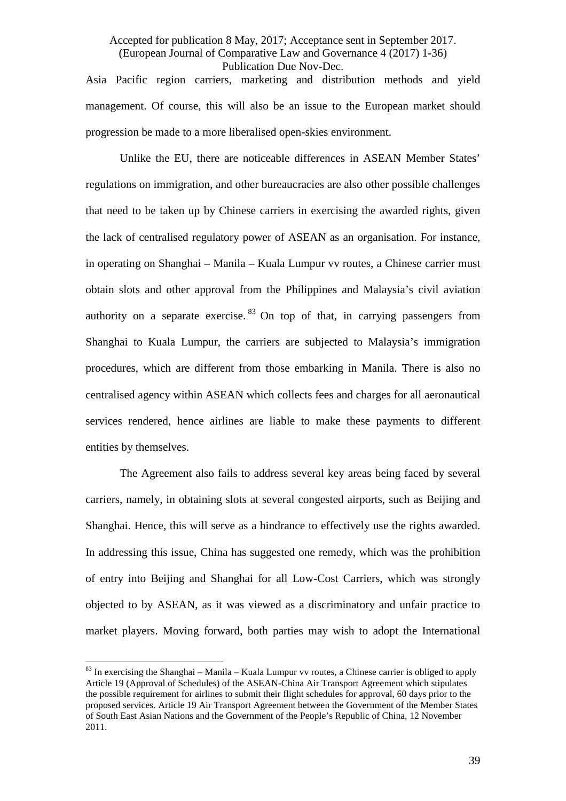Asia Pacific region carriers, marketing and distribution methods and yield management. Of course, this will also be an issue to the European market should progression be made to a more liberalised open-skies environment.

Unlike the EU, there are noticeable differences in ASEAN Member States' regulations on immigration, and other bureaucracies are also other possible challenges that need to be taken up by Chinese carriers in exercising the awarded rights, given the lack of centralised regulatory power of ASEAN as an organisation. For instance, in operating on Shanghai – Manila – Kuala Lumpur vv routes, a Chinese carrier must obtain slots and other approval from the Philippines and Malaysia's civil aviation authority on a separate exercise.  $83$  On top of that, in carrying passengers from Shanghai to Kuala Lumpur, the carriers are subjected to Malaysia's immigration procedures, which are different from those embarking in Manila. There is also no centralised agency within ASEAN which collects fees and charges for all aeronautical services rendered, hence airlines are liable to make these payments to different entities by themselves.

The Agreement also fails to address several key areas being faced by several carriers, namely, in obtaining slots at several congested airports, such as Beijing and Shanghai. Hence, this will serve as a hindrance to effectively use the rights awarded. In addressing this issue, China has suggested one remedy, which was the prohibition of entry into Beijing and Shanghai for all Low-Cost Carriers, which was strongly objected to by ASEAN, as it was viewed as a discriminatory and unfair practice to market players. Moving forward, both parties may wish to adopt the International

<span id="page-39-0"></span> $83$  In exercising the Shanghai – Manila – Kuala Lumpur vv routes, a Chinese carrier is obliged to apply Article 19 (Approval of Schedules) of the ASEAN-China Air Transport Agreement which stipulates the possible requirement for airlines to submit their flight schedules for approval, 60 days prior to the proposed services. Article 19 Air Transport Agreement between the Government of the Member States of South East Asian Nations and the Government of the People's Republic of China, 12 November 2011.  $\overline{a}$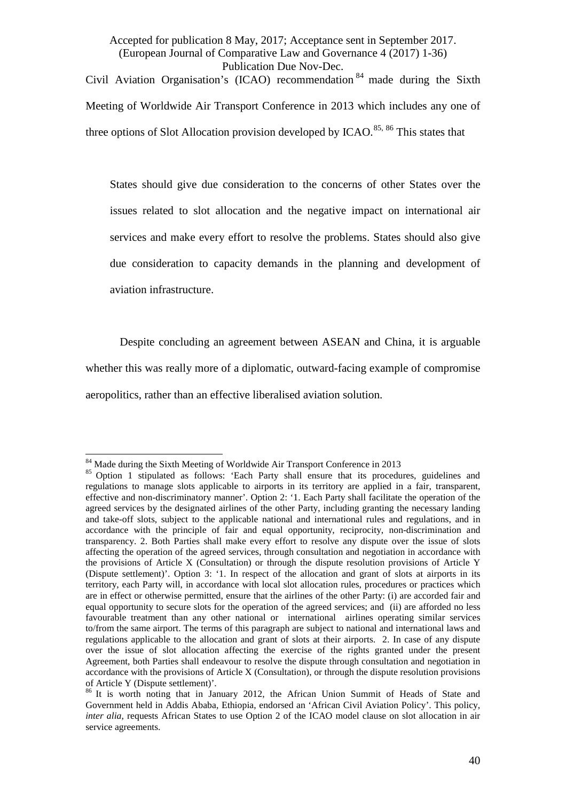Civil Aviation Organisation's (ICAO) recommendation [84](#page-40-0) made during the Sixth Meeting of Worldwide Air Transport Conference in 2013 which includes any one of three options of Slot Allocation provision developed by  $ICAO$ .<sup>[85](#page-40-1), [86](#page-40-2)</sup> This states that

States should give due consideration to the concerns of other States over the issues related to slot allocation and the negative impact on international air services and make every effort to resolve the problems. States should also give due consideration to capacity demands in the planning and development of aviation infrastructure.

Despite concluding an agreement between ASEAN and China, it is arguable whether this was really more of a diplomatic, outward-facing example of compromise aeropolitics, rather than an effective liberalised aviation solution.

<sup>&</sup>lt;sup>84</sup> Made during the Sixth Meeting of Worldwide Air Transport Conference in 2013

<span id="page-40-1"></span><span id="page-40-0"></span><sup>&</sup>lt;sup>85</sup> Option 1 stipulated as follows: 'Each Party shall ensure that its procedures, guidelines and regulations to manage slots applicable to airports in its territory are applied in a fair, transparent, effective and non-discriminatory manner'. Option 2: '1. Each Party shall facilitate the operation of the agreed services by the designated airlines of the other Party, including granting the necessary landing and take-off slots, subject to the applicable national and international rules and regulations, and in accordance with the principle of fair and equal opportunity, reciprocity, non-discrimination and transparency. 2. Both Parties shall make every effort to resolve any dispute over the issue of slots affecting the operation of the agreed services, through consultation and negotiation in accordance with the provisions of Article X (Consultation) or through the dispute resolution provisions of Article Y (Dispute settlement)'. Option 3: '1. In respect of the allocation and grant of slots at airports in its territory, each Party will, in accordance with local slot allocation rules, procedures or practices which are in effect or otherwise permitted, ensure that the airlines of the other Party: (i) are accorded fair and equal opportunity to secure slots for the operation of the agreed services; and (ii) are afforded no less favourable treatment than any other national or international airlines operating similar services to/from the same airport. The terms of this paragraph are subject to national and international laws and regulations applicable to the allocation and grant of slots at their airports. 2. In case of any dispute over the issue of slot allocation affecting the exercise of the rights granted under the present Agreement, both Parties shall endeavour to resolve the dispute through consultation and negotiation in accordance with the provisions of Article X (Consultation), or through the dispute resolution provisions of Article Y (Dispute settlement)'.

<span id="page-40-2"></span><sup>&</sup>lt;sup>86</sup> It is worth noting that in January 2012, the African Union Summit of Heads of State and Government held in Addis Ababa, Ethiopia, endorsed an 'African Civil Aviation Policy'. This policy, *inter alia*, requests African States to use Option 2 of the ICAO model clause on slot allocation in air service agreements.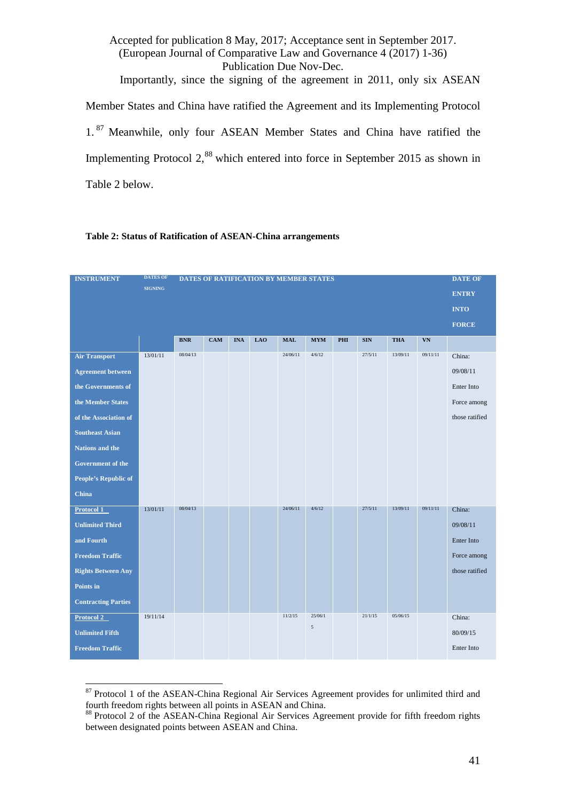Accepted for publication 8 May, 2017; Acceptance sent in September 2017. (European Journal of Comparative Law and Governance 4 (2017) 1-36) Publication Due Nov-Dec. Importantly, since the signing of the agreement in 2011, only six ASEAN Member States and China have ratified the Agreement and its Implementing Protocol 1.<sup>[87](#page-41-0)</sup> Meanwhile, only four ASEAN Member States and China have ratified the Implementing Protocol 2,<sup>[88](#page-41-1)</sup> which entered into force in September 2015 as shown in Table 2 below.

#### **Table 2: Status of Ratification of ASEAN-China arrangements**

| <b>INSTRUMENT</b>          | <b>DATES OF</b> | DATES OF RATIFICATION BY MEMBER STATES |            |            |            |            |                |     |            | <b>DATE OF</b> |              |                |
|----------------------------|-----------------|----------------------------------------|------------|------------|------------|------------|----------------|-----|------------|----------------|--------------|----------------|
|                            | <b>SIGNING</b>  |                                        |            |            |            |            |                |     |            |                | <b>ENTRY</b> |                |
|                            |                 |                                        |            |            |            |            |                |     |            |                |              | <b>INTO</b>    |
|                            |                 |                                        |            |            |            |            |                |     |            |                |              | <b>FORCE</b>   |
|                            |                 | <b>BNR</b>                             | <b>CAM</b> | <b>INA</b> | <b>LAO</b> | <b>MAL</b> | <b>MYM</b>     | PHI | <b>SIN</b> | <b>THA</b>     | VN           |                |
| <b>Air Transport</b>       | 13/01/11        | 08/04/13                               |            |            |            | 24/06/11   | 4/6/12         |     | 27/5/11    | 13/09/11       | 09/11/11     | China:         |
| <b>Agreement between</b>   |                 |                                        |            |            |            |            |                |     |            |                |              | 09/08/11       |
| the Governments of         |                 |                                        |            |            |            |            |                |     |            |                |              | Enter Into     |
| the Member States          |                 |                                        |            |            |            |            |                |     |            |                |              | Force among    |
| of the Association of      |                 |                                        |            |            |            |            |                |     |            |                |              | those ratified |
| <b>Southeast Asian</b>     |                 |                                        |            |            |            |            |                |     |            |                |              |                |
| Nations and the            |                 |                                        |            |            |            |            |                |     |            |                |              |                |
| Government of the          |                 |                                        |            |            |            |            |                |     |            |                |              |                |
| People's Republic of       |                 |                                        |            |            |            |            |                |     |            |                |              |                |
| China                      |                 |                                        |            |            |            |            |                |     |            |                |              |                |
| Protocol 1                 | 13/01/11        | 08/04/13                               |            |            |            | 24/06/11   | 4/6/12         |     | 27/5/11    | 13/09/11       | 09/11/11     | China:         |
| <b>Unlimited Third</b>     |                 |                                        |            |            |            |            |                |     |            |                |              | 09/08/11       |
| and Fourth                 |                 |                                        |            |            |            |            |                |     |            |                |              | Enter Into     |
| <b>Freedom Traffic</b>     |                 |                                        |            |            |            |            |                |     |            |                |              | Force among    |
| <b>Rights Between Any</b>  |                 |                                        |            |            |            |            |                |     |            |                |              | those ratified |
| Points in                  |                 |                                        |            |            |            |            |                |     |            |                |              |                |
| <b>Contracting Parties</b> |                 |                                        |            |            |            |            |                |     |            |                |              |                |
| Protocol 2                 | 19/11/14        |                                        |            |            |            | 11/2/15    | 25/06/1        |     | 21/1/15    | 05/06/15       |              | China:         |
| <b>Unlimited Fifth</b>     |                 |                                        |            |            |            |            | $\mathfrak{s}$ |     |            |                |              | 80/09/15       |
| <b>Freedom Traffic</b>     |                 |                                        |            |            |            |            |                |     |            |                |              | Enter Into     |

<span id="page-41-0"></span><sup>&</sup>lt;sup>87</sup> Protocol 1 of the ASEAN-China Regional Air Services Agreement provides for unlimited third and fourth freedom rights between all points in ASEAN and China.  $\frac{1}{2}$ 

<span id="page-41-1"></span><sup>88</sup> Protocol 2 of the ASEAN-China Regional Air Services Agreement provide for fifth freedom rights between designated points between ASEAN and China.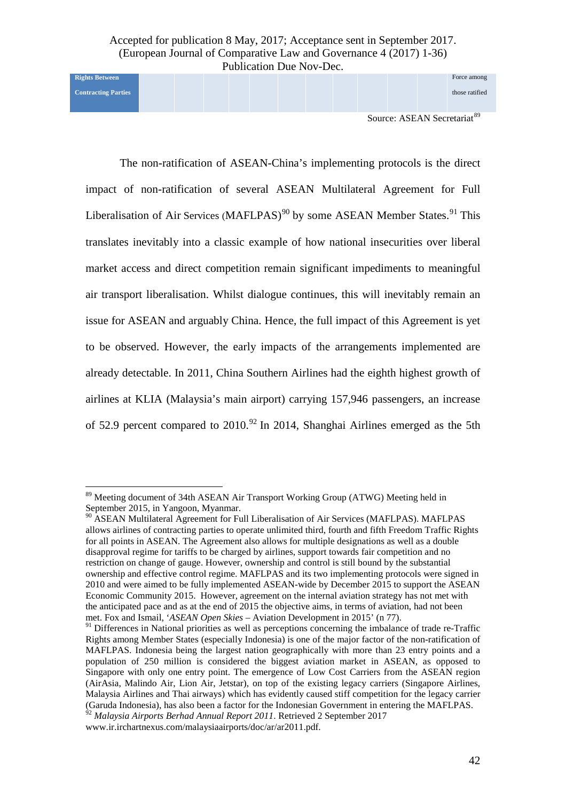**Contracting Parties**

**Rights Between** 

Source: ASEAN Secretariat<sup>[89](#page-42-0)</sup>

Force among those ratified

The non-ratification of ASEAN-China's implementing protocols is the direct impact of non-ratification of several ASEAN Multilateral Agreement for Full Liberalisation of Air Services (MAFLPAS)<sup>[90](#page-42-1)</sup> by some ASEAN Member States.<sup>[91](#page-42-2)</sup> This translates inevitably into a classic example of how national insecurities over liberal market access and direct competition remain significant impediments to meaningful air transport liberalisation. Whilst dialogue continues, this will inevitably remain an issue for ASEAN and arguably China. Hence, the full impact of this Agreement is yet to be observed. However, the early impacts of the arrangements implemented are already detectable. In 2011, China Southern Airlines had the eighth highest growth of airlines at KLIA (Malaysia's main airport) carrying 157,946 passengers, an increase of 52.9 percent compared to 2010.<sup>[92](#page-42-3)</sup> In 2014, Shanghai Airlines emerged as the 5th

<span id="page-42-0"></span><sup>&</sup>lt;sup>89</sup> Meeting document of 34th ASEAN Air Transport Working Group (ATWG) Meeting held in September 2015, in Yangoon, Myanmar.<br><sup>90</sup> ASEAN Multilateral Agreement for Full Liberalisation of Air Services (MAFLPAS). MAFLPAS  $\frac{1}{2}$ 

<span id="page-42-1"></span>allows airlines of contracting parties to operate unlimited third, fourth and fifth Freedom Traffic Rights for all points in ASEAN. The Agreement also allows for multiple designations as well as a double disapproval regime for tariffs to be charged by airlines, support towards fair competition and no restriction on change of gauge. However, ownership and control is still bound by the substantial ownership and effective control regime. MAFLPAS and its two implementing protocols were signed in 2010 and were aimed to be fully implemented ASEAN-wide by December 2015 to support the ASEAN Economic Community 2015. However, agreement on the internal aviation strategy has not met with the anticipated pace and as at the end of 2015 the objective aims, in terms of aviation, had not been met. Fox and Ismail, '*ASEAN Open Skies* – Aviation Development in 2015' (n [77\)](#page-33-1).

<span id="page-42-2"></span><sup>&</sup>lt;sup>91</sup> Differences in National priorities as well as perceptions concerning the imbalance of trade re-Traffic Rights among Member States (especially Indonesia) is one of the major factor of the non-ratification of MAFLPAS. Indonesia being the largest nation geographically with more than 23 entry points and a population of 250 million is considered the biggest aviation market in ASEAN, as opposed to Singapore with only one entry point. The emergence of Low Cost Carriers from the ASEAN region (AirAsia, Malindo Air, Lion Air, Jetstar), on top of the existing legacy carriers (Singapore Airlines, Malaysia Airlines and Thai airways) which has evidently caused stiff competition for the legacy carrier (Garuda Indonesia), has also been a factor for the Indonesian Government in entering the MAFLPAS. <sup>92</sup> *Malaysia Airports Berhad Annual Report 2011*. Retrieved 2 September 2017

<span id="page-42-3"></span>www.ir.irchartnexus.com/malaysiaairports/doc/ar/ar2011.pdf.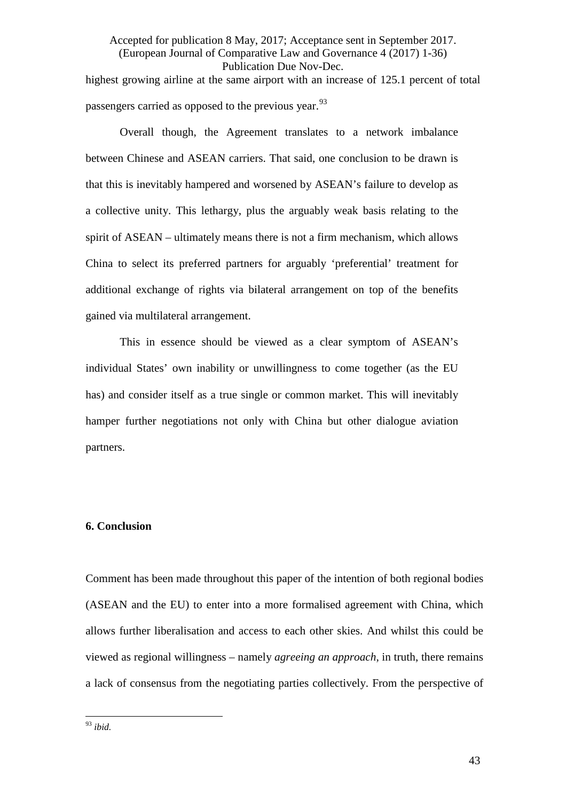Accepted for publication 8 May, 2017; Acceptance sent in September 2017. (European Journal of Comparative Law and Governance 4 (2017) 1-36) Publication Due Nov-Dec. highest growing airline at the same airport with an increase of 125.1 percent of total passengers carried as opposed to the previous year.<sup>[93](#page-43-0)</sup>

Overall though, the Agreement translates to a network imbalance between Chinese and ASEAN carriers. That said, one conclusion to be drawn is that this is inevitably hampered and worsened by ASEAN's failure to develop as a collective unity. This lethargy, plus the arguably weak basis relating to the spirit of ASEAN – ultimately means there is not a firm mechanism, which allows China to select its preferred partners for arguably 'preferential' treatment for additional exchange of rights via bilateral arrangement on top of the benefits gained via multilateral arrangement.

This in essence should be viewed as a clear symptom of ASEAN's individual States' own inability or unwillingness to come together (as the EU has) and consider itself as a true single or common market. This will inevitably hamper further negotiations not only with China but other dialogue aviation partners.

# **6. Conclusion**

Comment has been made throughout this paper of the intention of both regional bodies (ASEAN and the EU) to enter into a more formalised agreement with China, which allows further liberalisation and access to each other skies. And whilst this could be viewed as regional willingness – namely *agreeing an approach*, in truth, there remains a lack of consensus from the negotiating parties collectively. From the perspective of

<span id="page-43-0"></span><sup>93</sup> *ibid.*  $\frac{1}{\alpha}$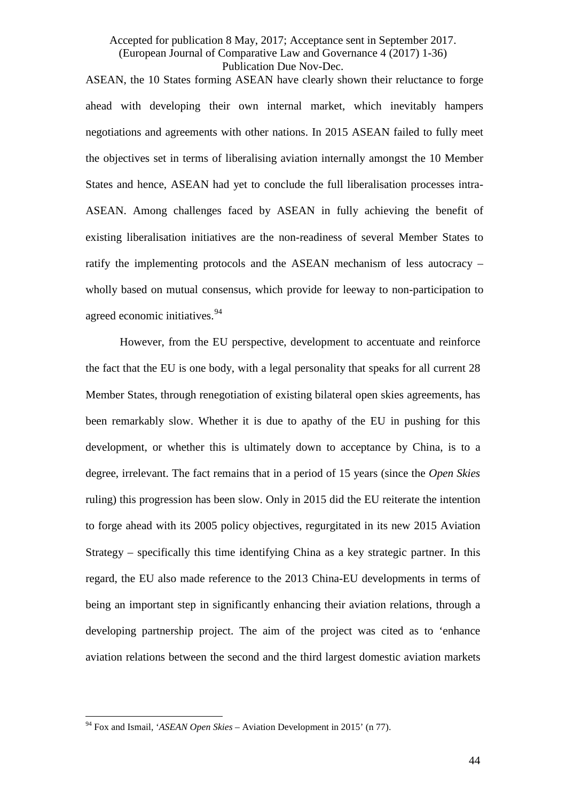ASEAN, the 10 States forming ASEAN have clearly shown their reluctance to forge ahead with developing their own internal market, which inevitably hampers negotiations and agreements with other nations. In 2015 ASEAN failed to fully meet the objectives set in terms of liberalising aviation internally amongst the 10 Member States and hence, ASEAN had yet to conclude the full liberalisation processes intra-ASEAN. Among challenges faced by ASEAN in fully achieving the benefit of existing liberalisation initiatives are the non-readiness of several Member States to ratify the implementing protocols and the ASEAN mechanism of less autocracy – wholly based on mutual consensus, which provide for leeway to non-participation to agreed economic initiatives.<sup>[94](#page-44-0)</sup>

However, from the EU perspective, development to accentuate and reinforce the fact that the EU is one body, with a legal personality that speaks for all current 28 Member States, through renegotiation of existing bilateral open skies agreements, has been remarkably slow. Whether it is due to apathy of the EU in pushing for this development, or whether this is ultimately down to acceptance by China, is to a degree, irrelevant. The fact remains that in a period of 15 years (since the *Open Skies* ruling) this progression has been slow. Only in 2015 did the EU reiterate the intention to forge ahead with its 2005 policy objectives, regurgitated in its new 2015 Aviation Strategy – specifically this time identifying China as a key strategic partner. In this regard, the EU also made reference to the 2013 China-EU developments in terms of being an important step in significantly enhancing their aviation relations, through a developing partnership project. The aim of the project was cited as to 'enhance aviation relations between the second and the third largest domestic aviation markets

<span id="page-44-0"></span><sup>94</sup> Fox and Ismail, '*ASEAN Open Skies* – Aviation Development in 2015' (n [77\)](#page-33-1).  $\frac{1}{\alpha}$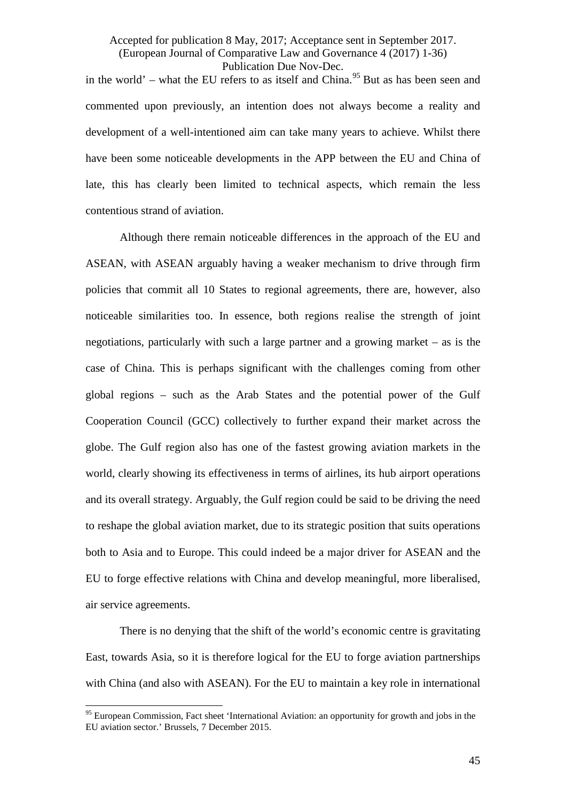in the world' – what the EU refers to as itself and China.<sup>[95](#page-45-0)</sup> But as has been seen and commented upon previously, an intention does not always become a reality and development of a well-intentioned aim can take many years to achieve. Whilst there have been some noticeable developments in the APP between the EU and China of late, this has clearly been limited to technical aspects, which remain the less contentious strand of aviation.

Although there remain noticeable differences in the approach of the EU and ASEAN, with ASEAN arguably having a weaker mechanism to drive through firm policies that commit all 10 States to regional agreements, there are, however, also noticeable similarities too. In essence, both regions realise the strength of joint negotiations, particularly with such a large partner and a growing market – as is the case of China. This is perhaps significant with the challenges coming from other global regions – such as the Arab States and the potential power of the Gulf Cooperation Council (GCC) collectively to further expand their market across the globe. The Gulf region also has one of the fastest growing aviation markets in the world, clearly showing its effectiveness in terms of airlines, its hub airport operations and its overall strategy. Arguably, the Gulf region could be said to be driving the need to reshape the global aviation market, due to its strategic position that suits operations both to Asia and to Europe. This could indeed be a major driver for ASEAN and the EU to forge effective relations with China and develop meaningful, more liberalised, air service agreements.

There is no denying that the shift of the world's economic centre is gravitating East, towards Asia, so it is therefore logical for the EU to forge aviation partnerships with China (and also with ASEAN). For the EU to maintain a key role in international

<span id="page-45-0"></span><sup>&</sup>lt;sup>95</sup> European Commission, Fact sheet 'International Aviation: an opportunity for growth and jobs in the EU aviation sector.' Brussels, 7 December 2015.  $\frac{1}{\alpha}$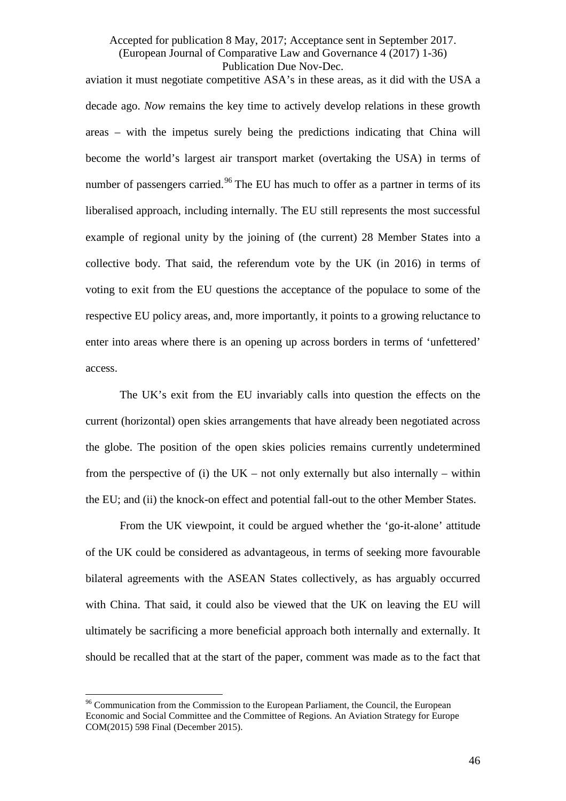aviation it must negotiate competitive ASA's in these areas, as it did with the USA a decade ago. *Now* remains the key time to actively develop relations in these growth areas – with the impetus surely being the predictions indicating that China will become the world's largest air transport market (overtaking the USA) in terms of number of passengers carried.<sup>[96](#page-46-0)</sup> The EU has much to offer as a partner in terms of its liberalised approach, including internally. The EU still represents the most successful example of regional unity by the joining of (the current) 28 Member States into a collective body. That said, the referendum vote by the UK (in 2016) in terms of voting to exit from the EU questions the acceptance of the populace to some of the respective EU policy areas, and, more importantly, it points to a growing reluctance to enter into areas where there is an opening up across borders in terms of 'unfettered' access.

The UK's exit from the EU invariably calls into question the effects on the current (horizontal) open skies arrangements that have already been negotiated across the globe. The position of the open skies policies remains currently undetermined from the perspective of (i) the  $UK - not$  only externally but also internally – within the EU; and (ii) the knock-on effect and potential fall-out to the other Member States.

From the UK viewpoint, it could be argued whether the 'go-it-alone' attitude of the UK could be considered as advantageous, in terms of seeking more favourable bilateral agreements with the ASEAN States collectively, as has arguably occurred with China. That said, it could also be viewed that the UK on leaving the EU will ultimately be sacrificing a more beneficial approach both internally and externally. It should be recalled that at the start of the paper, comment was made as to the fact that

<span id="page-46-0"></span><sup>&</sup>lt;sup>96</sup> Communication from the Commission to the European Parliament, the Council, the European Economic and Social Committee and the Committee of Regions. An Aviation Strategy for Europe COM(2015) 598 Final (December 2015).  $\frac{1}{\alpha}$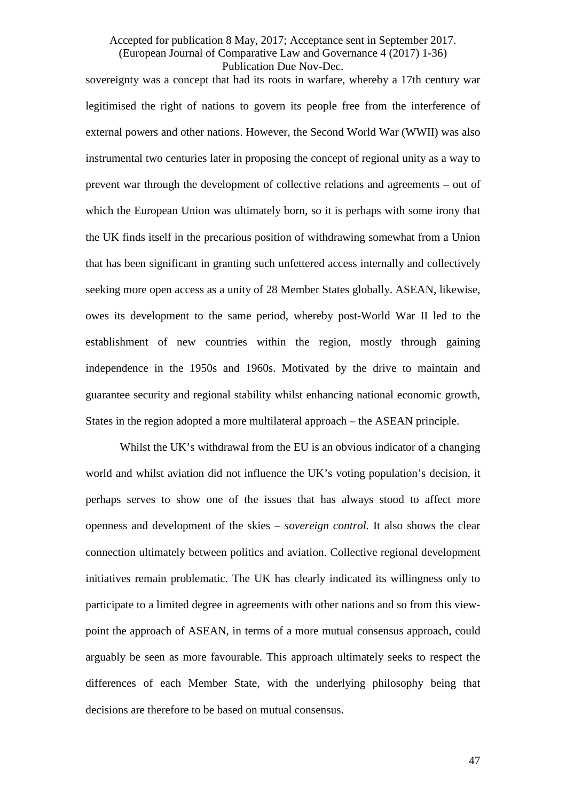sovereignty was a concept that had its roots in warfare, whereby a 17th century war legitimised the right of nations to govern its people free from the interference of external powers and other nations. However, the Second World War (WWII) was also instrumental two centuries later in proposing the concept of regional unity as a way to prevent war through the development of collective relations and agreements – out of which the European Union was ultimately born, so it is perhaps with some irony that the UK finds itself in the precarious position of withdrawing somewhat from a Union that has been significant in granting such unfettered access internally and collectively seeking more open access as a unity of 28 Member States globally. ASEAN, likewise, owes its development to the same period, whereby post-World War II led to the establishment of new countries within the region, mostly through gaining independence in the 1950s and 1960s. Motivated by the drive to maintain and guarantee security and regional stability whilst enhancing national economic growth, States in the region adopted a more multilateral approach – the ASEAN principle.

Whilst the UK's withdrawal from the EU is an obvious indicator of a changing world and whilst aviation did not influence the UK's voting population's decision, it perhaps serves to show one of the issues that has always stood to affect more openness and development of the skies – *sovereign control.* It also shows the clear connection ultimately between politics and aviation. Collective regional development initiatives remain problematic. The UK has clearly indicated its willingness only to participate to a limited degree in agreements with other nations and so from this viewpoint the approach of ASEAN, in terms of a more mutual consensus approach, could arguably be seen as more favourable. This approach ultimately seeks to respect the differences of each Member State, with the underlying philosophy being that decisions are therefore to be based on mutual consensus.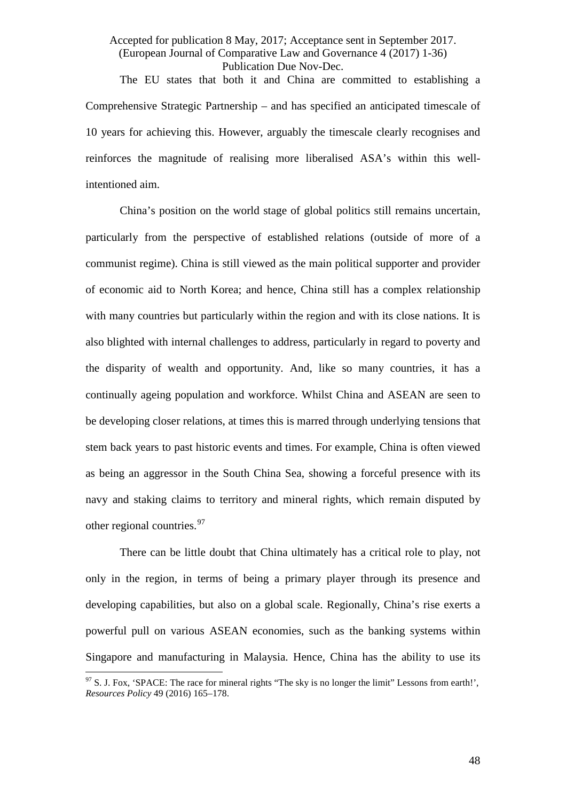The EU states that both it and China are committed to establishing a Comprehensive Strategic Partnership – and has specified an anticipated timescale of 10 years for achieving this. However, arguably the timescale clearly recognises and reinforces the magnitude of realising more liberalised ASA's within this wellintentioned aim.

China's position on the world stage of global politics still remains uncertain, particularly from the perspective of established relations (outside of more of a communist regime). China is still viewed as the main political supporter and provider of economic aid to North Korea; and hence, China still has a complex relationship with many countries but particularly within the region and with its close nations. It is also blighted with internal challenges to address, particularly in regard to poverty and the disparity of wealth and opportunity. And, like so many countries, it has a continually ageing population and workforce. Whilst China and ASEAN are seen to be developing closer relations, at times this is marred through underlying tensions that stem back years to past historic events and times. For example, China is often viewed as being an aggressor in the South China Sea, showing a forceful presence with its navy and staking claims to territory and mineral rights, which remain disputed by other regional countries.<sup>[97](#page-48-0)</sup>

There can be little doubt that China ultimately has a critical role to play, not only in the region, in terms of being a primary player through its presence and developing capabilities, but also on a global scale. Regionally, China's rise exerts a powerful pull on various ASEAN economies, such as the banking systems within Singapore and manufacturing in Malaysia. Hence, China has the ability to use its

<span id="page-48-0"></span> $97$  S. J. Fox, 'SPACE: The race for mineral rights "The sky is no longer the limit" Lessons from earth!', *Resources Policy* 49 (2016) 165–178.  $\frac{1}{\alpha}$